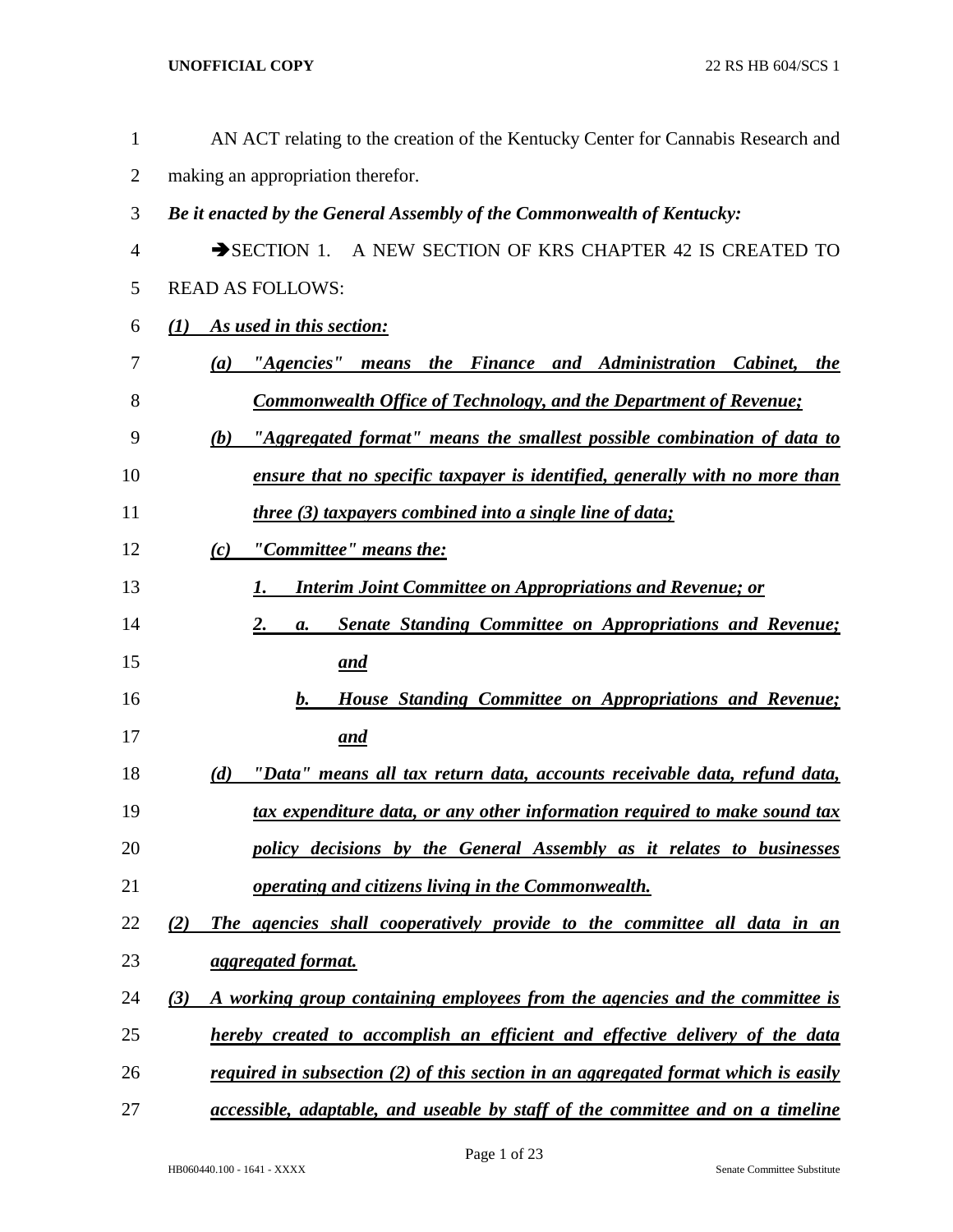| $\mathbf{1}$   | AN ACT relating to the creation of the Kentucky Center for Cannabis Research and          |
|----------------|-------------------------------------------------------------------------------------------|
| $\overline{2}$ | making an appropriation therefor.                                                         |
| 3              | Be it enacted by the General Assembly of the Commonwealth of Kentucky:                    |
| 4              | SECTION 1. A NEW SECTION OF KRS CHAPTER 42 IS CREATED TO                                  |
| 5              | <b>READ AS FOLLOWS:</b>                                                                   |
| 6              | As used in this section:<br>(1)                                                           |
| 7              | "Agencies" means the Finance and Administration Cabinet, the<br>(a)                       |
| 8              | <b>Commonwealth Office of Technology, and the Department of Revenue;</b>                  |
| 9              | "Aggregated format" means the smallest possible combination of data to<br>(b)             |
| 10             | ensure that no specific taxpayer is identified, generally with no more than               |
| 11             | <i>three (3) taxpayers combined into a single line of data;</i>                           |
| 12             | "Committee" means the:<br>(c)                                                             |
| 13             | <b>Interim Joint Committee on Appropriations and Revenue; or</b>                          |
| 14             | <b>Senate Standing Committee on Appropriations and Revenue;</b><br>2.<br>a.               |
| 15             | <u>and</u>                                                                                |
| 16             | House Standing Committee on Appropriations and Revenue;<br>b.                             |
| 17             | <u>and</u>                                                                                |
| 18             | <u>"Data" means all tax return data, accounts receivable data, refund data,</u><br>(d)    |
| 19             | tax expenditure data, or any other information required to make sound tax                 |
| 20             | policy decisions by the General Assembly as it relates to businesses                      |
| 21             | operating and citizens living in the Commonwealth.                                        |
| 22             | The agencies shall cooperatively provide to the committee all data in an<br>(2)           |
| 23             | <i>aggregated format.</i>                                                                 |
| 24             | A working group containing employees from the agencies and the committee is<br>(3)        |
| 25             | hereby created to accomplish an efficient and effective delivery of the data              |
| 26             | <u>required in subsection (2) of this section in an aggregated format which is easily</u> |
| 27             | <i>accessible, adaptable, and useable by staff of the committee and on a timeline</i>     |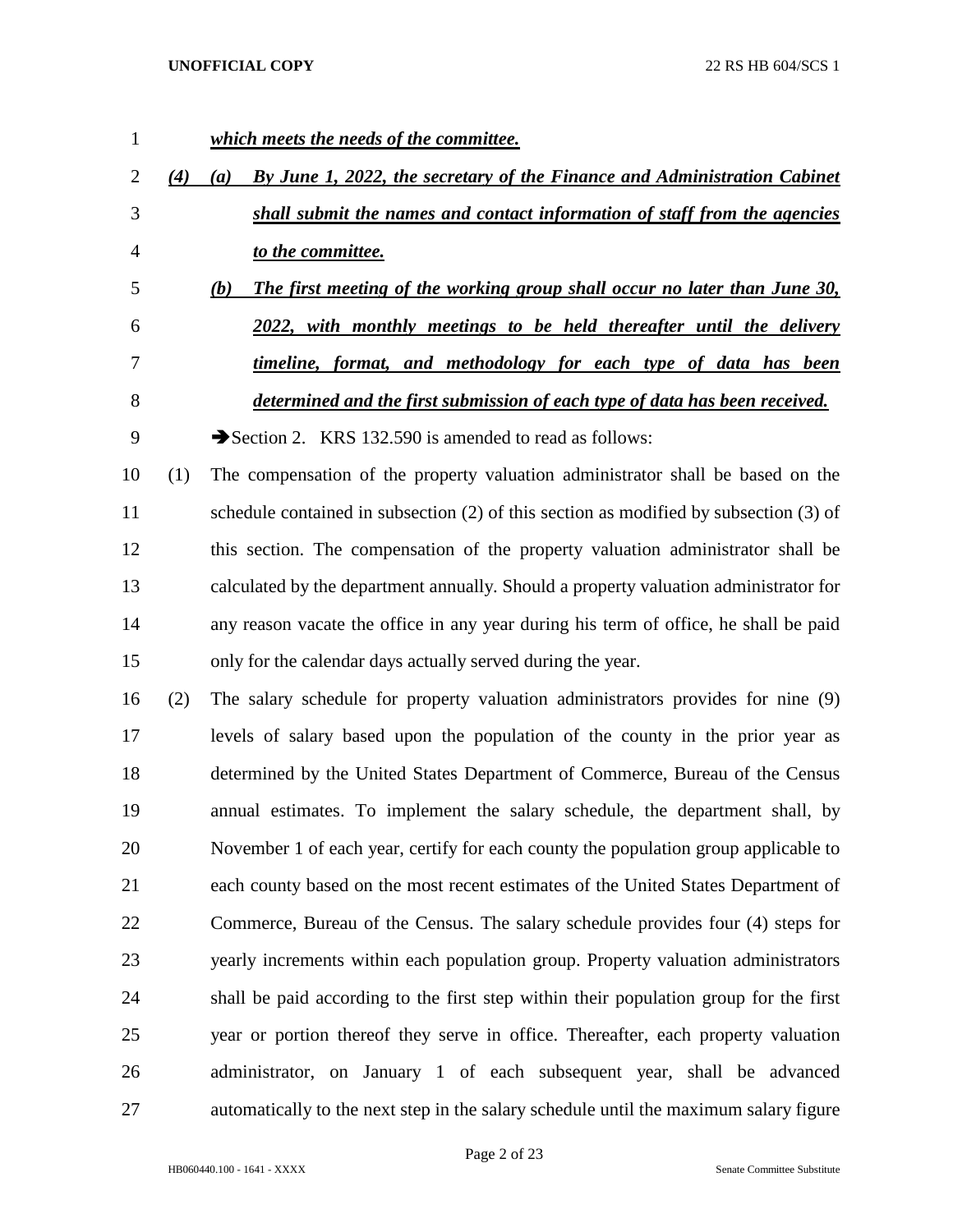*which meets the needs of the committee. (4) (a) By June 1, 2022, the secretary of the Finance and Administration Cabinet shall submit the names and contact information of staff from the agencies to the committee. (b) The first meeting of the working group shall occur no later than June 30, 2022, with monthly meetings to be held thereafter until the delivery timeline, format, and methodology for each type of data has been determined and the first submission of each type of data has been received.* 9 Section 2. KRS 132.590 is amended to read as follows: (1) The compensation of the property valuation administrator shall be based on the schedule contained in subsection (2) of this section as modified by subsection (3) of this section. The compensation of the property valuation administrator shall be calculated by the department annually. Should a property valuation administrator for any reason vacate the office in any year during his term of office, he shall be paid only for the calendar days actually served during the year. (2) The salary schedule for property valuation administrators provides for nine (9) levels of salary based upon the population of the county in the prior year as determined by the United States Department of Commerce, Bureau of the Census annual estimates. To implement the salary schedule, the department shall, by November 1 of each year, certify for each county the population group applicable to each county based on the most recent estimates of the United States Department of Commerce, Bureau of the Census. The salary schedule provides four (4) steps for yearly increments within each population group. Property valuation administrators shall be paid according to the first step within their population group for the first year or portion thereof they serve in office. Thereafter, each property valuation administrator, on January 1 of each subsequent year, shall be advanced automatically to the next step in the salary schedule until the maximum salary figure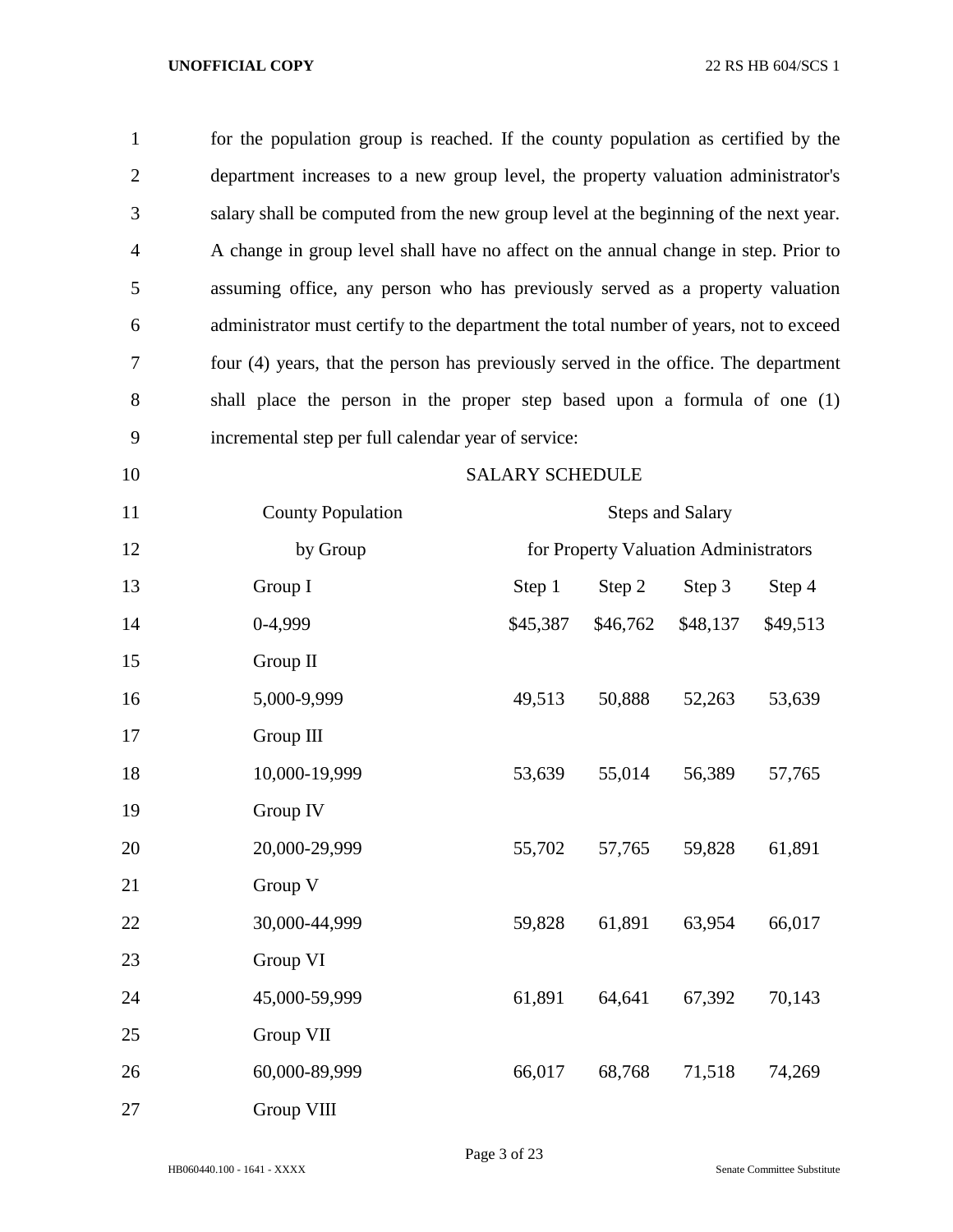| $\mathbf{1}$   | for the population group is reached. If the county population as certified by the     |                                                                                      |          |                                       |          |  |  |
|----------------|---------------------------------------------------------------------------------------|--------------------------------------------------------------------------------------|----------|---------------------------------------|----------|--|--|
| $\overline{2}$ | department increases to a new group level, the property valuation administrator's     |                                                                                      |          |                                       |          |  |  |
| 3              |                                                                                       | salary shall be computed from the new group level at the beginning of the next year. |          |                                       |          |  |  |
| $\overline{4}$ | A change in group level shall have no affect on the annual change in step. Prior to   |                                                                                      |          |                                       |          |  |  |
| 5              | assuming office, any person who has previously served as a property valuation         |                                                                                      |          |                                       |          |  |  |
| 6              | administrator must certify to the department the total number of years, not to exceed |                                                                                      |          |                                       |          |  |  |
| 7              | four (4) years, that the person has previously served in the office. The department   |                                                                                      |          |                                       |          |  |  |
| $8\,$          | shall place the person in the proper step based upon a formula of one (1)             |                                                                                      |          |                                       |          |  |  |
| 9              | incremental step per full calendar year of service:                                   |                                                                                      |          |                                       |          |  |  |
| 10             |                                                                                       | <b>SALARY SCHEDULE</b>                                                               |          |                                       |          |  |  |
| 11             | <b>County Population</b>                                                              |                                                                                      |          | <b>Steps and Salary</b>               |          |  |  |
| 12             | by Group                                                                              |                                                                                      |          | for Property Valuation Administrators |          |  |  |
| 13             | Group I                                                                               | Step 1                                                                               | Step 2   | Step 3                                | Step 4   |  |  |
| 14             | 0-4,999                                                                               | \$45,387                                                                             | \$46,762 | \$48,137                              | \$49,513 |  |  |
| 15             | Group II                                                                              |                                                                                      |          |                                       |          |  |  |
| 16             | 5,000-9,999                                                                           | 49,513                                                                               | 50,888   | 52,263                                | 53,639   |  |  |
| 17             | Group III                                                                             |                                                                                      |          |                                       |          |  |  |
| 18             | 10,000-19,999                                                                         | 53,639                                                                               | 55,014   | 56,389                                | 57,765   |  |  |
| 19             | Group IV                                                                              |                                                                                      |          |                                       |          |  |  |
| 20             | 20,000-29,999                                                                         | 55,702                                                                               | 57,765   | 59,828                                | 61,891   |  |  |
| 21             | Group V                                                                               |                                                                                      |          |                                       |          |  |  |
| 22             | 30,000-44,999                                                                         | 59,828                                                                               | 61,891   | 63,954                                | 66,017   |  |  |
| 23             | Group VI                                                                              |                                                                                      |          |                                       |          |  |  |
| 24             | 45,000-59,999                                                                         | 61,891                                                                               | 64,641   | 67,392                                | 70,143   |  |  |
| 25             | Group VII                                                                             |                                                                                      |          |                                       |          |  |  |
| 26             | 60,000-89,999                                                                         | 66,017                                                                               | 68,768   | 71,518                                | 74,269   |  |  |
| 27             | Group VIII                                                                            |                                                                                      |          |                                       |          |  |  |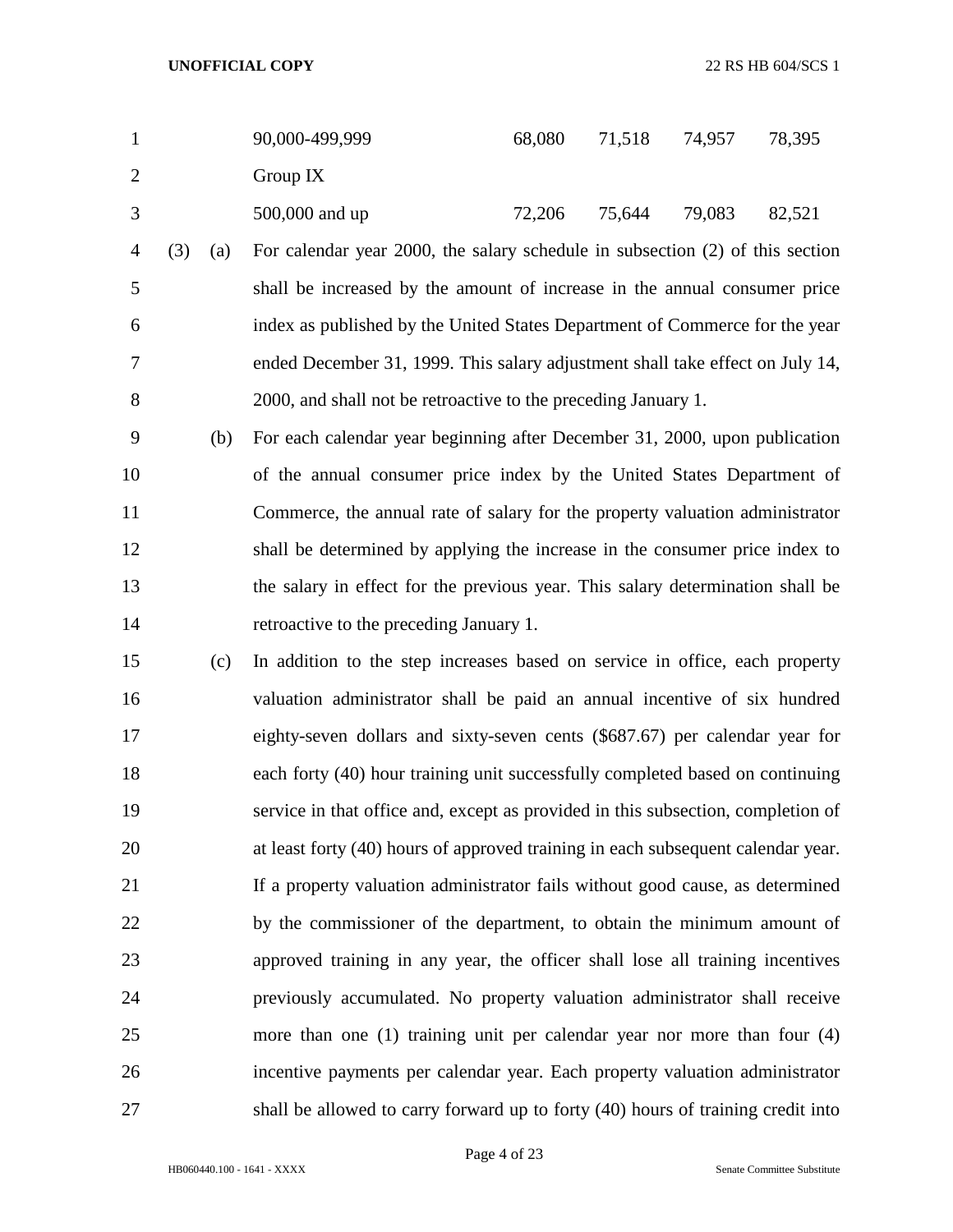|   | 90,000-499,999 | 68,080 | 71,518 | 74,957 | 78,395 |
|---|----------------|--------|--------|--------|--------|
| 2 | Group $IX$     |        |        |        |        |
| 3 | 500,000 and up | 72,206 | 75,644 | 79,083 | 82,521 |

- (3) (a) For calendar year 2000, the salary schedule in subsection (2) of this section shall be increased by the amount of increase in the annual consumer price index as published by the United States Department of Commerce for the year ended December 31, 1999. This salary adjustment shall take effect on July 14, 2000, and shall not be retroactive to the preceding January 1.
- (b) For each calendar year beginning after December 31, 2000, upon publication of the annual consumer price index by the United States Department of Commerce, the annual rate of salary for the property valuation administrator shall be determined by applying the increase in the consumer price index to the salary in effect for the previous year. This salary determination shall be retroactive to the preceding January 1.
- (c) In addition to the step increases based on service in office, each property valuation administrator shall be paid an annual incentive of six hundred eighty-seven dollars and sixty-seven cents (\$687.67) per calendar year for each forty (40) hour training unit successfully completed based on continuing service in that office and, except as provided in this subsection, completion of at least forty (40) hours of approved training in each subsequent calendar year. If a property valuation administrator fails without good cause, as determined by the commissioner of the department, to obtain the minimum amount of approved training in any year, the officer shall lose all training incentives previously accumulated. No property valuation administrator shall receive more than one (1) training unit per calendar year nor more than four (4) incentive payments per calendar year. Each property valuation administrator shall be allowed to carry forward up to forty (40) hours of training credit into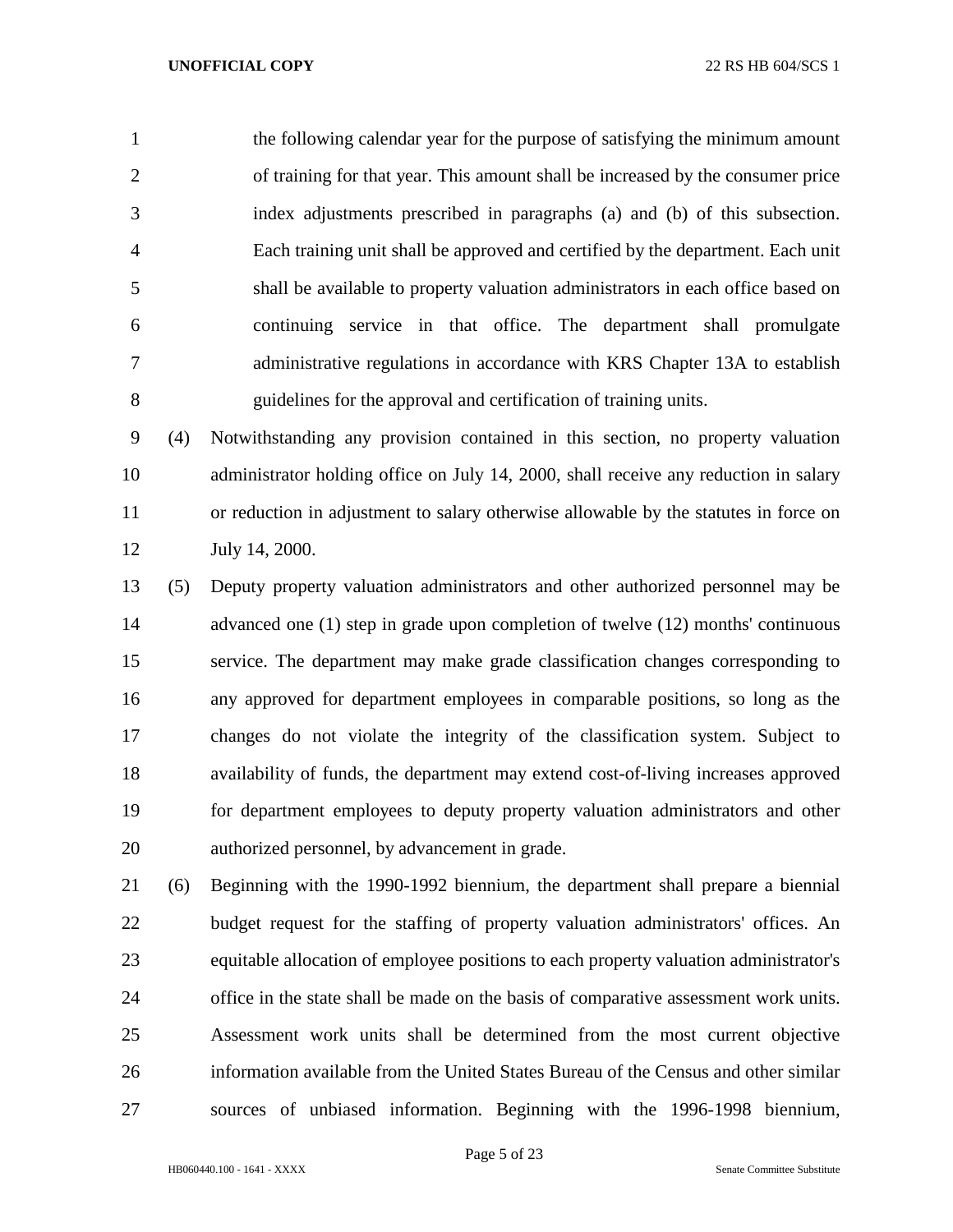the following calendar year for the purpose of satisfying the minimum amount of training for that year. This amount shall be increased by the consumer price index adjustments prescribed in paragraphs (a) and (b) of this subsection. Each training unit shall be approved and certified by the department. Each unit shall be available to property valuation administrators in each office based on continuing service in that office. The department shall promulgate administrative regulations in accordance with KRS Chapter 13A to establish guidelines for the approval and certification of training units.

 (4) Notwithstanding any provision contained in this section, no property valuation administrator holding office on July 14, 2000, shall receive any reduction in salary or reduction in adjustment to salary otherwise allowable by the statutes in force on July 14, 2000.

 (5) Deputy property valuation administrators and other authorized personnel may be advanced one (1) step in grade upon completion of twelve (12) months' continuous service. The department may make grade classification changes corresponding to any approved for department employees in comparable positions, so long as the changes do not violate the integrity of the classification system. Subject to availability of funds, the department may extend cost-of-living increases approved for department employees to deputy property valuation administrators and other authorized personnel, by advancement in grade.

 (6) Beginning with the 1990-1992 biennium, the department shall prepare a biennial budget request for the staffing of property valuation administrators' offices. An equitable allocation of employee positions to each property valuation administrator's office in the state shall be made on the basis of comparative assessment work units. Assessment work units shall be determined from the most current objective information available from the United States Bureau of the Census and other similar sources of unbiased information. Beginning with the 1996-1998 biennium,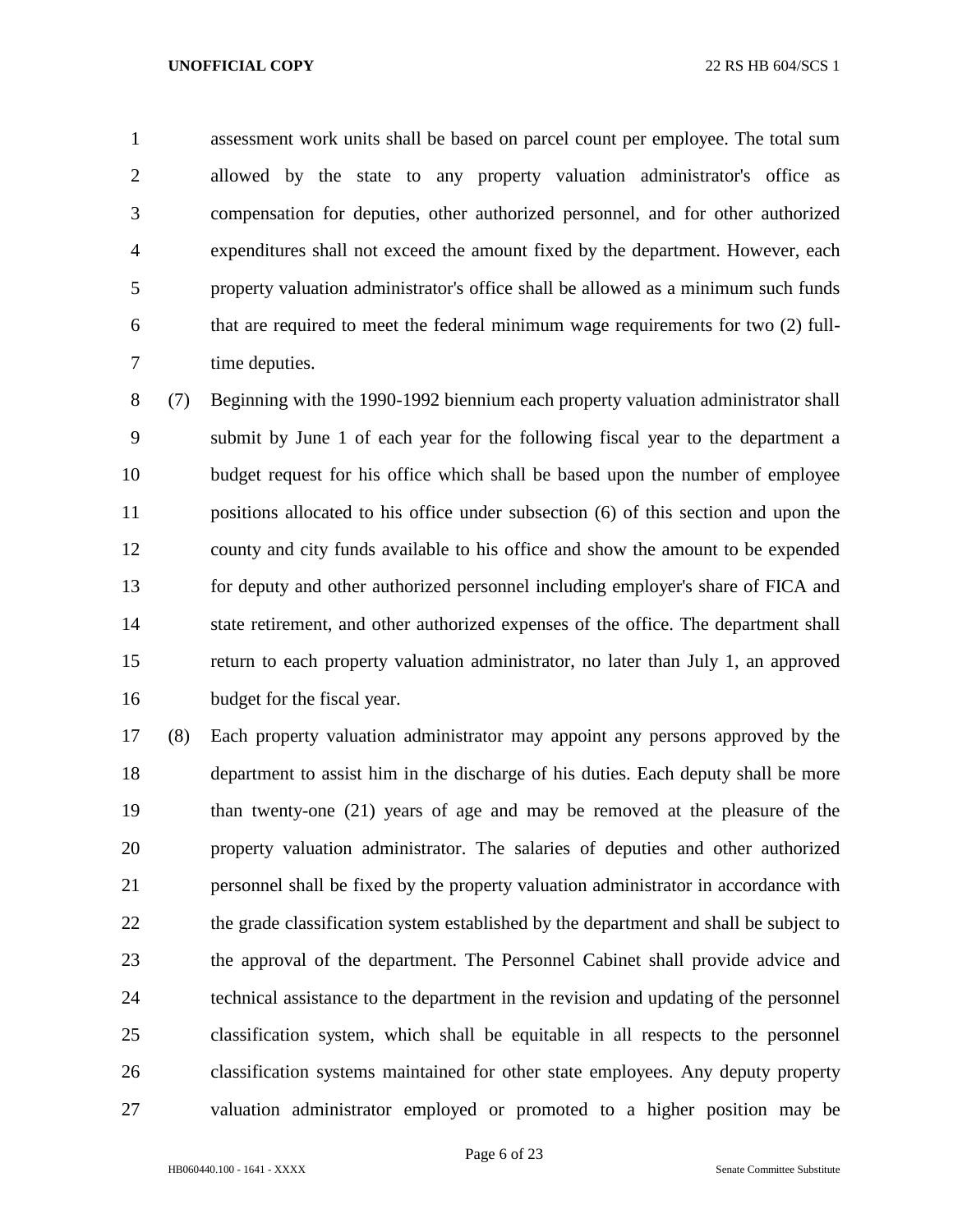assessment work units shall be based on parcel count per employee. The total sum allowed by the state to any property valuation administrator's office as compensation for deputies, other authorized personnel, and for other authorized expenditures shall not exceed the amount fixed by the department. However, each property valuation administrator's office shall be allowed as a minimum such funds that are required to meet the federal minimum wage requirements for two (2) full-time deputies.

 (7) Beginning with the 1990-1992 biennium each property valuation administrator shall submit by June 1 of each year for the following fiscal year to the department a budget request for his office which shall be based upon the number of employee positions allocated to his office under subsection (6) of this section and upon the county and city funds available to his office and show the amount to be expended for deputy and other authorized personnel including employer's share of FICA and state retirement, and other authorized expenses of the office. The department shall return to each property valuation administrator, no later than July 1, an approved budget for the fiscal year.

 (8) Each property valuation administrator may appoint any persons approved by the department to assist him in the discharge of his duties. Each deputy shall be more than twenty-one (21) years of age and may be removed at the pleasure of the property valuation administrator. The salaries of deputies and other authorized personnel shall be fixed by the property valuation administrator in accordance with 22 the grade classification system established by the department and shall be subject to the approval of the department. The Personnel Cabinet shall provide advice and technical assistance to the department in the revision and updating of the personnel classification system, which shall be equitable in all respects to the personnel classification systems maintained for other state employees. Any deputy property valuation administrator employed or promoted to a higher position may be

Page 6 of 23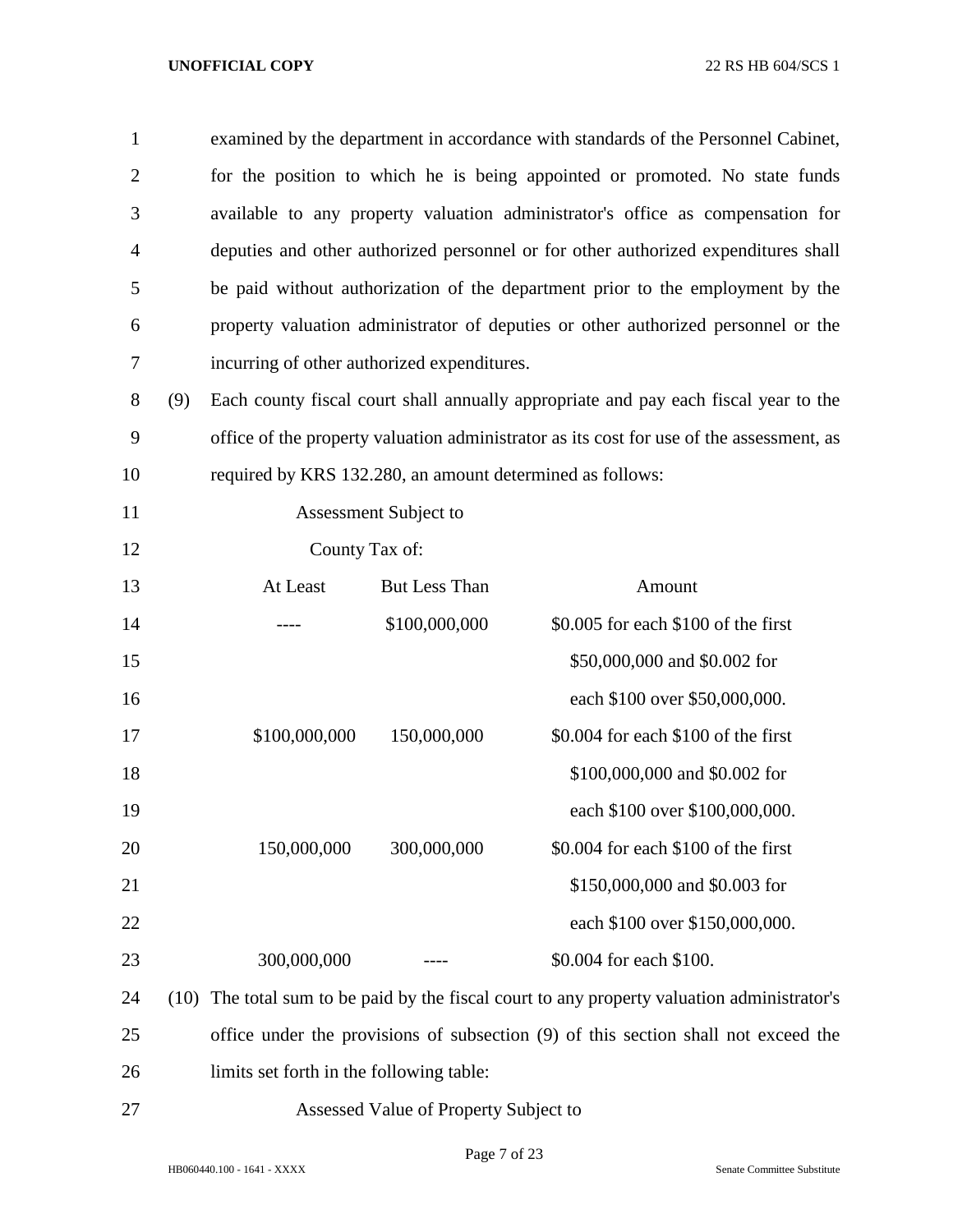| $\mathbf{1}$   |      |                                                           |                                       | examined by the department in accordance with standards of the Personnel Cabinet,        |
|----------------|------|-----------------------------------------------------------|---------------------------------------|------------------------------------------------------------------------------------------|
| $\overline{2}$ |      |                                                           |                                       | for the position to which he is being appointed or promoted. No state funds              |
| 3              |      |                                                           |                                       | available to any property valuation administrator's office as compensation for           |
| 4              |      |                                                           |                                       | deputies and other authorized personnel or for other authorized expenditures shall       |
| 5              |      |                                                           |                                       | be paid without authorization of the department prior to the employment by the           |
| 6              |      |                                                           |                                       | property valuation administrator of deputies or other authorized personnel or the        |
| 7              |      | incurring of other authorized expenditures.               |                                       |                                                                                          |
| 8              | (9)  |                                                           |                                       | Each county fiscal court shall annually appropriate and pay each fiscal year to the      |
| 9              |      |                                                           |                                       | office of the property valuation administrator as its cost for use of the assessment, as |
| 10             |      | required by KRS 132.280, an amount determined as follows: |                                       |                                                                                          |
| 11             |      |                                                           | Assessment Subject to                 |                                                                                          |
| 12             |      | County Tax of:                                            |                                       |                                                                                          |
| 13             |      | At Least                                                  | <b>But Less Than</b>                  | Amount                                                                                   |
| 14             |      |                                                           | \$100,000,000                         | \$0.005 for each \$100 of the first                                                      |
| 15             |      |                                                           |                                       | \$50,000,000 and \$0.002 for                                                             |
| 16             |      |                                                           |                                       | each \$100 over \$50,000,000.                                                            |
| 17             |      | \$100,000,000                                             | 150,000,000                           | \$0.004 for each \$100 of the first                                                      |
| 18             |      |                                                           |                                       | \$100,000,000 and \$0.002 for                                                            |
| 19             |      |                                                           |                                       | each \$100 over \$100,000,000.                                                           |
| 20             |      | 150,000,000                                               | 300,000,000                           | \$0.004 for each \$100 of the first                                                      |
| 21             |      |                                                           |                                       | \$150,000,000 and \$0.003 for                                                            |
| 22             |      |                                                           |                                       | each \$100 over \$150,000,000.                                                           |
| 23             |      | 300,000,000                                               |                                       | \$0.004 for each \$100.                                                                  |
| 24             | (10) |                                                           |                                       | The total sum to be paid by the fiscal court to any property valuation administrator's   |
| 25             |      |                                                           |                                       | office under the provisions of subsection (9) of this section shall not exceed the       |
| 26             |      | limits set forth in the following table:                  |                                       |                                                                                          |
| 27             |      |                                                           | Assessed Value of Property Subject to |                                                                                          |

Page 7 of 23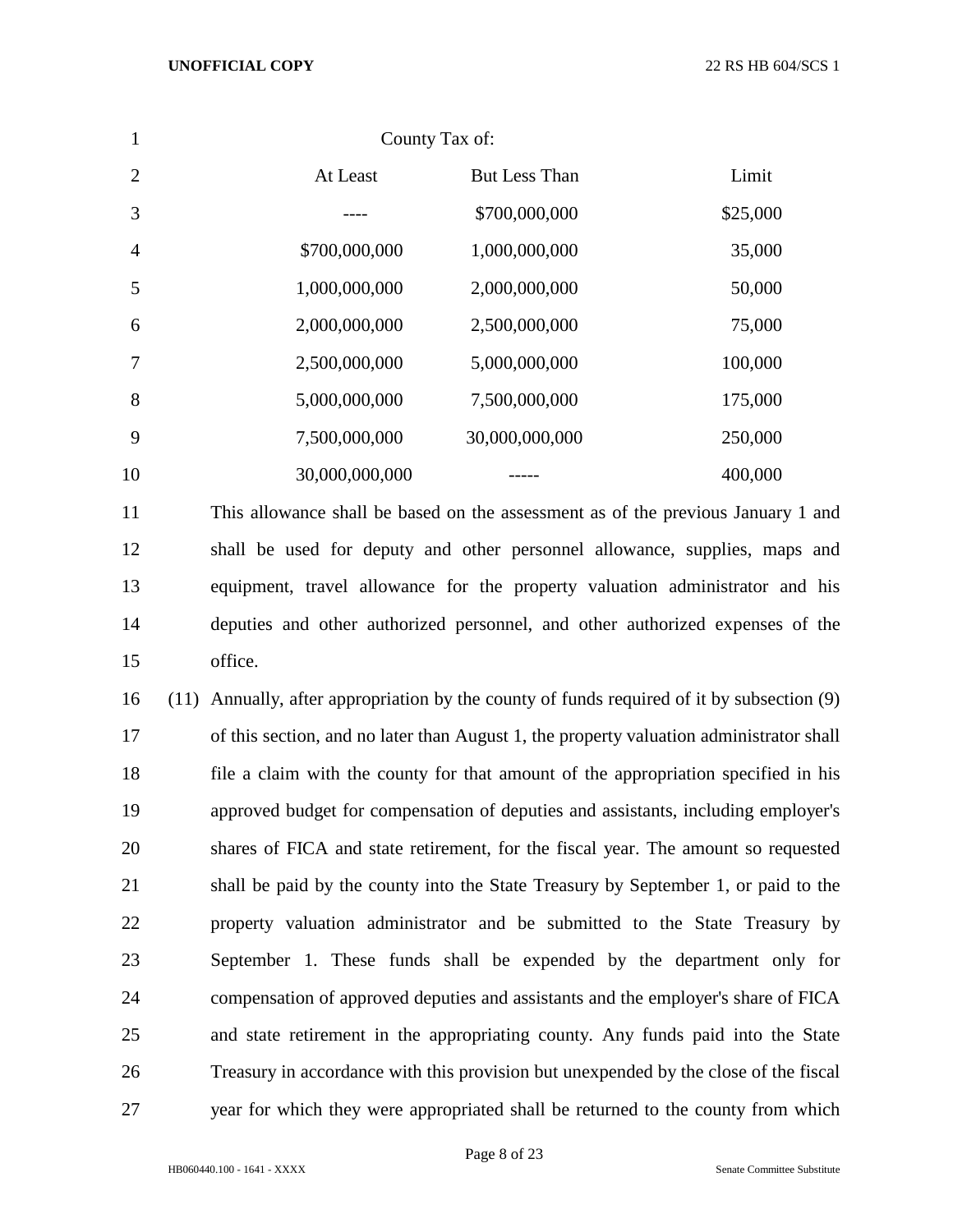| $\mathbf{1}$   |                                                                                               | County Tax of: |                                                                                      |
|----------------|-----------------------------------------------------------------------------------------------|----------------|--------------------------------------------------------------------------------------|
| $\overline{2}$ | At Least                                                                                      | But Less Than  | Limit                                                                                |
| 3              |                                                                                               | \$700,000,000  | \$25,000                                                                             |
| 4              | \$700,000,000                                                                                 | 1,000,000,000  | 35,000                                                                               |
| 5              | 1,000,000,000                                                                                 | 2,000,000,000  | 50,000                                                                               |
| 6              | 2,000,000,000                                                                                 | 2,500,000,000  | 75,000                                                                               |
| 7              | 2,500,000,000                                                                                 | 5,000,000,000  | 100,000                                                                              |
| 8              | 5,000,000,000                                                                                 | 7,500,000,000  | 175,000                                                                              |
| 9              | 7,500,000,000                                                                                 | 30,000,000,000 | 250,000                                                                              |
| 10             | 30,000,000,000                                                                                |                | 400,000                                                                              |
| 11             | This allowance shall be based on the assessment as of the previous January 1 and              |                |                                                                                      |
| 12             | shall be used for deputy and other personnel allowance, supplies, maps and                    |                |                                                                                      |
| 13             | equipment, travel allowance for the property valuation administrator and his                  |                |                                                                                      |
| 14             | deputies and other authorized personnel, and other authorized expenses of the                 |                |                                                                                      |
| 15             | office.                                                                                       |                |                                                                                      |
| 16             | Annually, after appropriation by the county of funds required of it by subsection (9)<br>(11) |                |                                                                                      |
| 17             | of this section, and no later than August 1, the property valuation administrator shall       |                |                                                                                      |
| 18             | file a claim with the county for that amount of the appropriation specified in his            |                |                                                                                      |
| 19             | approved budget for compensation of deputies and assistants, including employer's             |                |                                                                                      |
| 20             | shares of FICA and state retirement, for the fiscal year. The amount so requested             |                |                                                                                      |
| 21             | shall be paid by the county into the State Treasury by September 1, or paid to the            |                |                                                                                      |
| 22             | property valuation administrator and be submitted to the State Treasury by                    |                |                                                                                      |
| 23             | September 1. These funds shall be expended by the department only for                         |                |                                                                                      |
| $\mathcal{L}$  |                                                                                               |                | example the of compared deputies and escriptories and the smaller who shape of FICA. |

 compensation of approved deputies and assistants and the employer's share of FICA and state retirement in the appropriating county. Any funds paid into the State Treasury in accordance with this provision but unexpended by the close of the fiscal year for which they were appropriated shall be returned to the county from which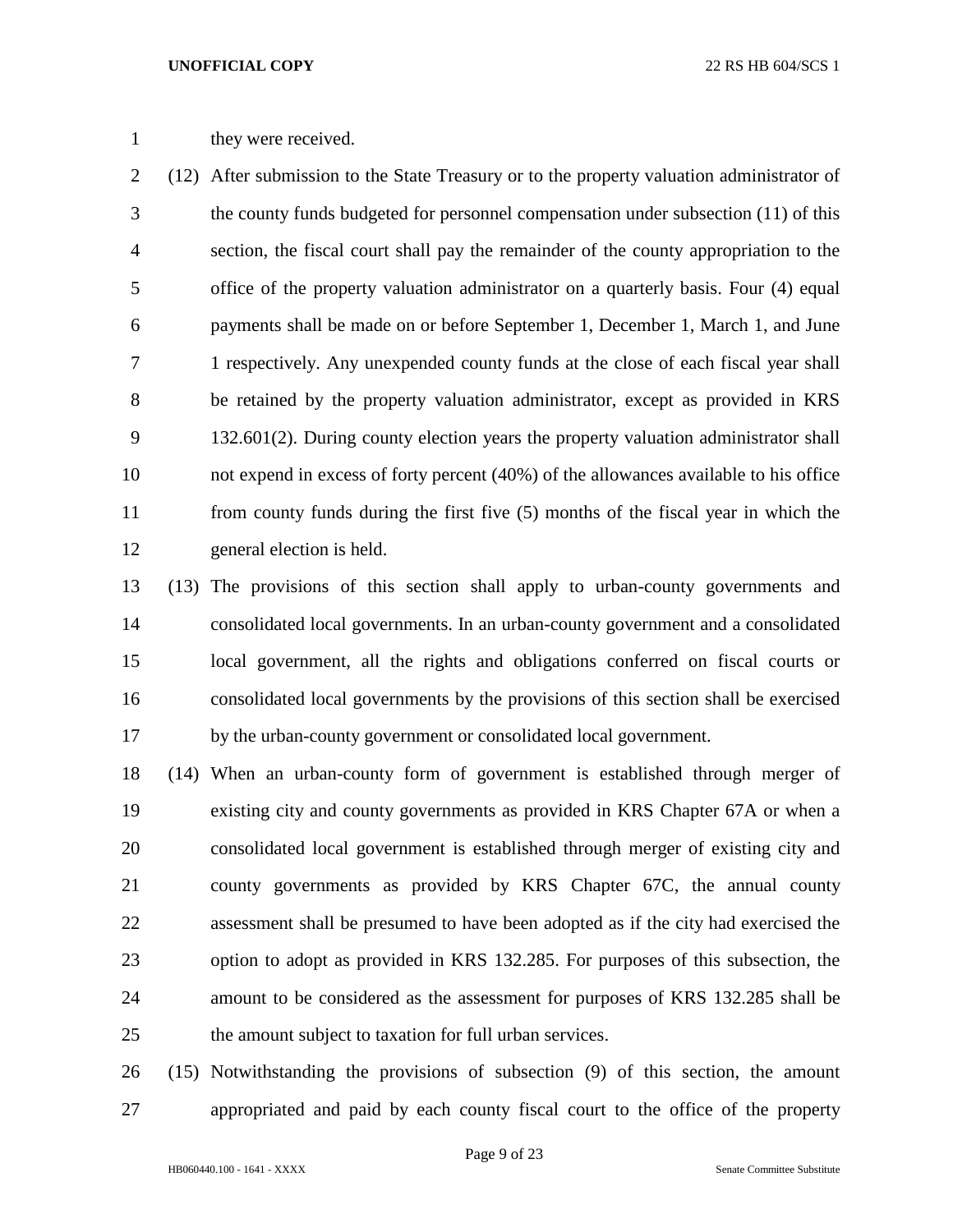## 1 they were received.

 (12) After submission to the State Treasury or to the property valuation administrator of the county funds budgeted for personnel compensation under subsection (11) of this section, the fiscal court shall pay the remainder of the county appropriation to the office of the property valuation administrator on a quarterly basis. Four (4) equal payments shall be made on or before September 1, December 1, March 1, and June 1 respectively. Any unexpended county funds at the close of each fiscal year shall be retained by the property valuation administrator, except as provided in KRS 132.601(2). During county election years the property valuation administrator shall not expend in excess of forty percent (40%) of the allowances available to his office from county funds during the first five (5) months of the fiscal year in which the general election is held.

 (13) The provisions of this section shall apply to urban-county governments and consolidated local governments. In an urban-county government and a consolidated local government, all the rights and obligations conferred on fiscal courts or consolidated local governments by the provisions of this section shall be exercised by the urban-county government or consolidated local government.

 (14) When an urban-county form of government is established through merger of existing city and county governments as provided in KRS Chapter 67A or when a consolidated local government is established through merger of existing city and county governments as provided by KRS Chapter 67C, the annual county assessment shall be presumed to have been adopted as if the city had exercised the option to adopt as provided in KRS 132.285. For purposes of this subsection, the amount to be considered as the assessment for purposes of KRS 132.285 shall be the amount subject to taxation for full urban services.

 (15) Notwithstanding the provisions of subsection (9) of this section, the amount appropriated and paid by each county fiscal court to the office of the property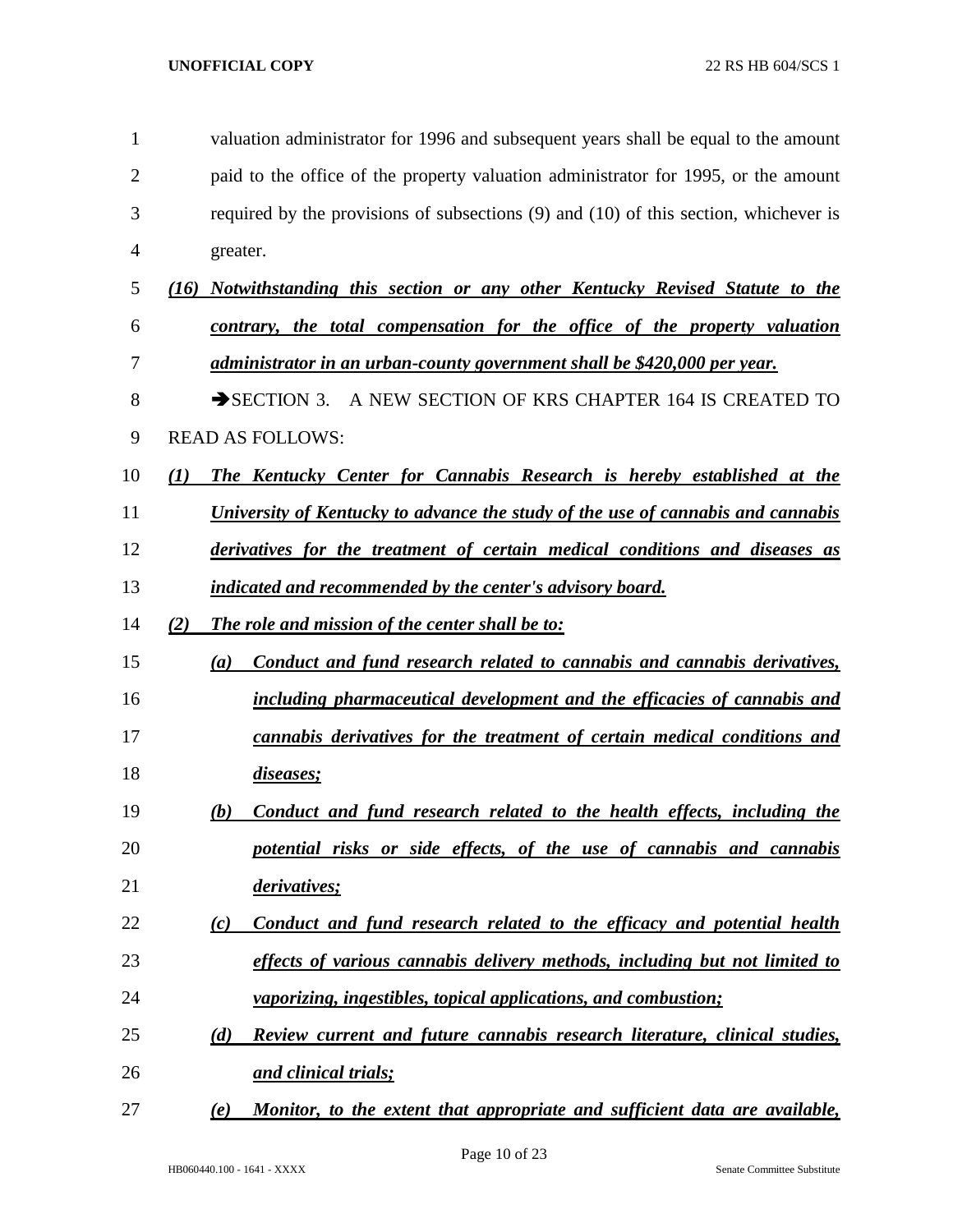| 1  | valuation administrator for 1996 and subsequent years shall be equal to the amount       |
|----|------------------------------------------------------------------------------------------|
| 2  | paid to the office of the property valuation administrator for 1995, or the amount       |
| 3  | required by the provisions of subsections $(9)$ and $(10)$ of this section, whichever is |
| 4  | greater.                                                                                 |
| 5  | (16) Notwithstanding this section or any other Kentucky Revised Statute to the           |
| 6  | contrary, the total compensation for the office of the property valuation                |
| 7  | administrator in an urban-county government shall be \$420,000 per year.                 |
| 8  | SECTION 3. A NEW SECTION OF KRS CHAPTER 164 IS CREATED TO                                |
| 9  | <b>READ AS FOLLOWS:</b>                                                                  |
| 10 | The Kentucky Center for Cannabis Research is hereby established at the<br>(I)            |
| 11 | University of Kentucky to advance the study of the use of cannabis and cannabis          |
| 12 | derivatives for the treatment of certain medical conditions and diseases as              |
| 13 | indicated and recommended by the center's advisory board.                                |
| 14 | The role and mission of the center shall be to:<br>(2)                                   |
| 15 | Conduct and fund research related to cannabis and cannabis derivatives,<br>(a)           |
| 16 | including pharmaceutical development and the efficacies of cannabis and                  |
| 17 | cannabis derivatives for the treatment of certain medical conditions and                 |
| 18 | diseases;                                                                                |
| 19 | Conduct and fund research related to the health effects, including the<br>(b)            |
| 20 | potential risks or side effects, of the use of cannabis and cannabis                     |
| 21 | derivatives;                                                                             |
| 22 | Conduct and fund research related to the efficacy and potential health<br>(c)            |
| 23 | effects of various cannabis delivery methods, including but not limited to               |
| 24 | vaporizing, ingestibles, topical applications, and combustion;                           |
| 25 | Review current and future cannabis research literature, clinical studies,<br>(d)         |
| 26 | and clinical trials;                                                                     |
| 27 | Monitor, to the extent that appropriate and sufficient data are available,<br>(e)        |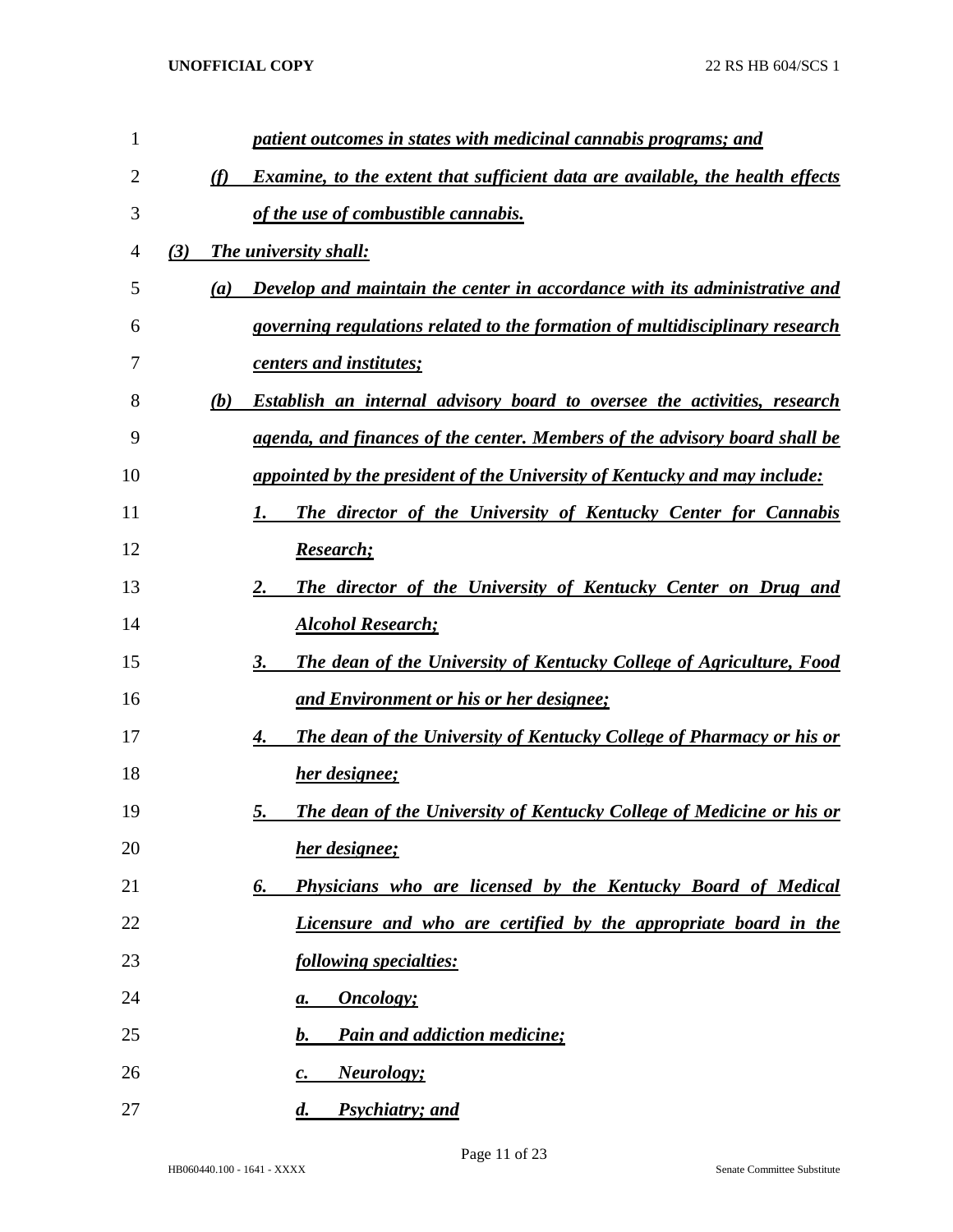| 1  | patient outcomes in states with medicinal cannabis programs; and                            |
|----|---------------------------------------------------------------------------------------------|
| 2  | <b>Examine, to the extent that sufficient data are available, the health effects</b><br>(f) |
| 3  | of the use of combustible cannabis.                                                         |
| 4  | The university shall:<br>(3)                                                                |
| 5  | Develop and maintain the center in accordance with its administrative and<br>(a)            |
| 6  | governing regulations related to the formation of multidisciplinary research                |
| 7  | centers and institutes;                                                                     |
| 8  | <b>Establish an internal advisory board to oversee the activities, research</b><br>(b)      |
| 9  | agenda, and finances of the center. Members of the advisory board shall be                  |
| 10 | appointed by the president of the University of Kentucky and may include:                   |
| 11 | The director of the University of Kentucky Center for Cannabis                              |
| 12 | Research;                                                                                   |
| 13 | The director of the University of Kentucky Center on Drug and<br>2.                         |
| 14 | <b>Alcohol Research;</b>                                                                    |
| 15 | <b>The dean of the University of Kentucky College of Agriculture, Food</b><br>3.            |
| 16 | and Environment or his or her designee;                                                     |
| 17 | <b>The dean of the University of Kentucky College of Pharmacy or his or</b><br>4.           |
| 18 | <b>her designee;</b>                                                                        |
| 19 | <b>The dean of the University of Kentucky College of Medicine or his or</b><br>5.           |
| 20 | her designee;                                                                               |
| 21 | Physicians who are licensed by the Kentucky Board of Medical<br>6.                          |
| 22 | Licensure and who are certified by the appropriate board in the                             |
| 23 | following specialties:                                                                      |
| 24 | <b>Oncology</b> ;<br>a.                                                                     |
| 25 | <b>Pain and addiction medicine;</b><br>b.                                                   |
| 26 | <b>Neurology</b> ;<br>$\boldsymbol{c}$ .                                                    |
| 27 | Psychiatry; and<br>$\boldsymbol{d}$ .                                                       |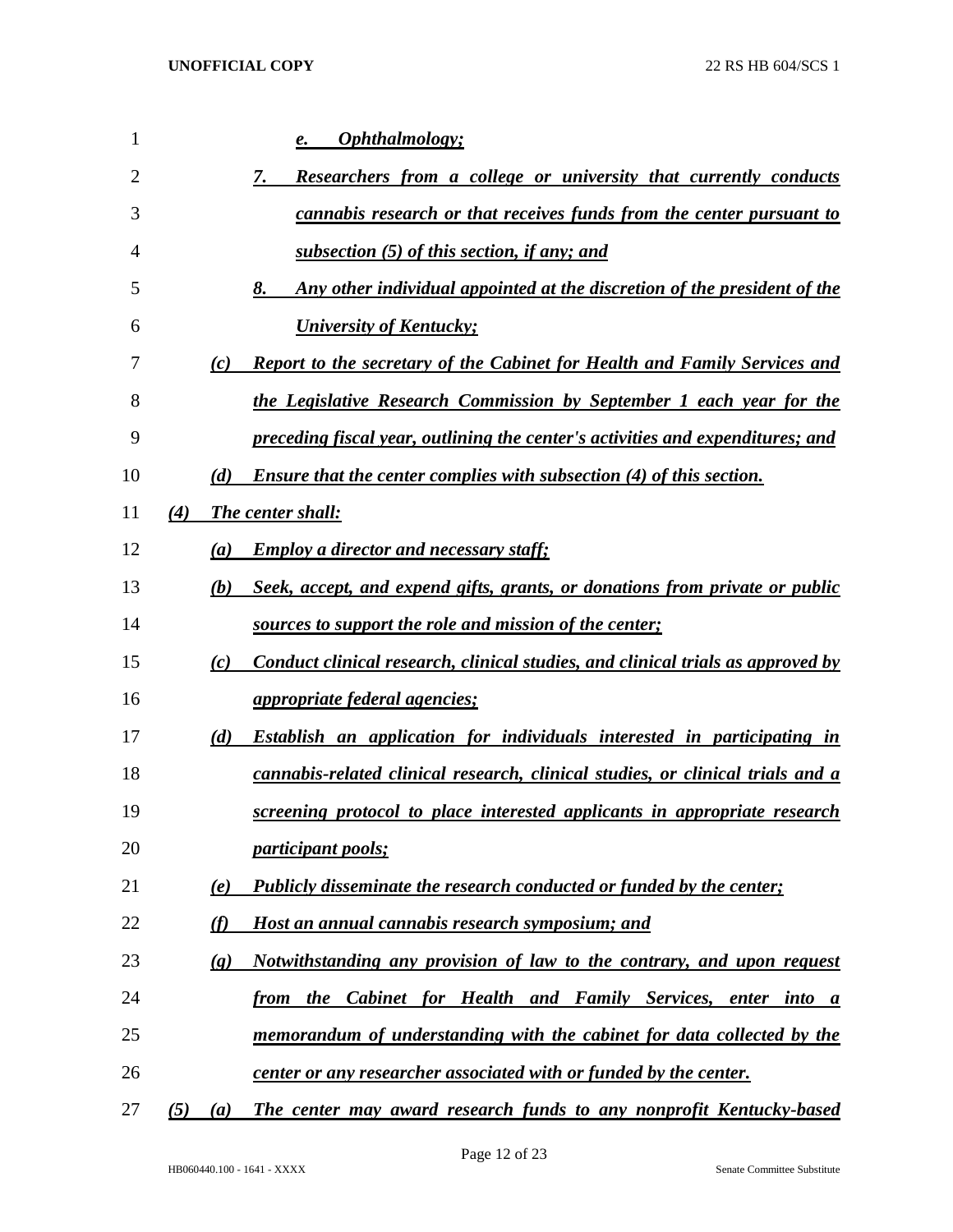| $\mathbf{1}$   |     |                            | Ophthalmology;<br>e.                                                             |
|----------------|-----|----------------------------|----------------------------------------------------------------------------------|
| $\overline{2}$ |     |                            | 7.<br><b>Researchers from a college or university that currently conducts</b>    |
| 3              |     |                            | cannabis research or that receives funds from the center pursuant to             |
| 4              |     |                            | subsection (5) of this section, if any; and                                      |
| 5              |     |                            | 8.<br>Any other individual appointed at the discretion of the president of the   |
| 6              |     |                            | <b>University of Kentucky;</b>                                                   |
| 7              |     | (c)                        | <b>Report to the secretary of the Cabinet for Health and Family Services and</b> |
| 8              |     |                            | the Legislative Research Commission by September 1 each year for the             |
| 9              |     |                            | preceding fiscal year, outlining the center's activities and expenditures; and   |
| 10             |     | (d)                        | <b>Ensure that the center complies with subsection (4) of this section.</b>      |
| 11             | (4) |                            | <b>The center shall:</b>                                                         |
| 12             |     | (a)                        | <b>Employ a director and necessary staff:</b>                                    |
| 13             |     | (b)                        | Seek, accept, and expend gifts, grants, or donations from private or public      |
| 14             |     |                            | sources to support the role and mission of the center;                           |
| 15             |     | (c)                        | Conduct clinical research, clinical studies, and clinical trials as approved by  |
| 16             |     |                            | <i>appropriate federal agencies;</i>                                             |
| 17             |     | (d)                        | <b>Establish an application for individuals interested in participating in</b>   |
| 18             |     |                            | cannabis-related clinical research, clinical studies, or clinical trials and a   |
| 19             |     |                            | screening protocol to place interested applicants in appropriate research        |
| 20             |     |                            | <i>participant pools;</i>                                                        |
| 21             |     | (e)                        | <b>Publicly disseminate the research conducted or funded by the center;</b>      |
| 22             |     | (f)                        | Host an annual cannabis research symposium; and                                  |
| 23             |     | $\left( \mathbf{g}\right)$ | Notwithstanding any provision of law to the contrary, and upon request           |
| 24             |     |                            | from the Cabinet for Health and Family Services,<br>enter into a                 |
| 25             |     |                            | memorandum of understanding with the cabinet for data collected by the           |
| 26             |     |                            | <u>center or any researcher associated with or funded by the center.</u>         |
| 27             | (5) | (a)                        | The center may award research funds to any nonprofit Kentucky-based              |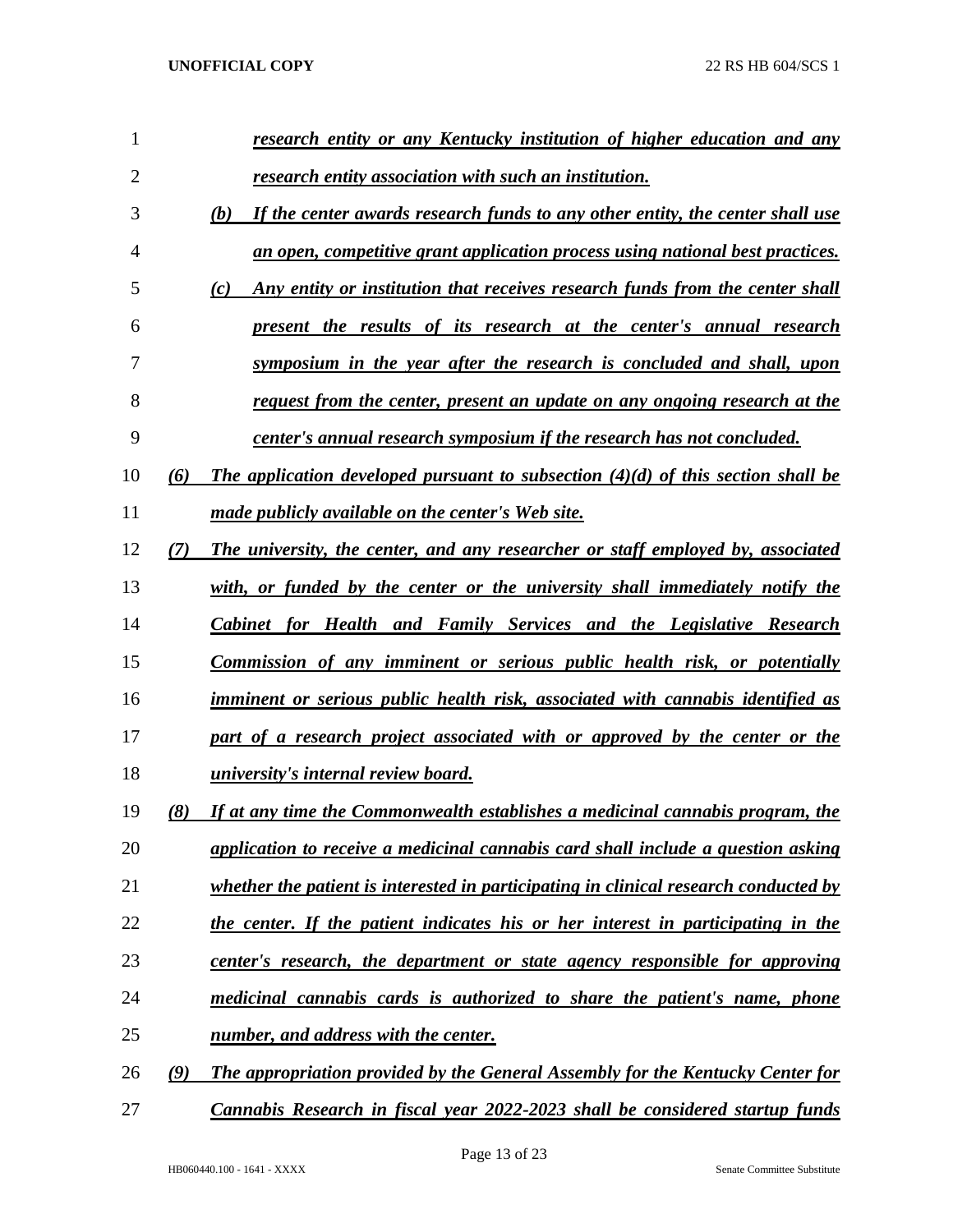| 1              |     | research entity or any Kentucky institution of higher education and any               |
|----------------|-----|---------------------------------------------------------------------------------------|
| $\overline{2}$ |     | <u>research entity association with such an institution.</u>                          |
| 3              |     | If the center awards research funds to any other entity, the center shall use<br>(b)  |
| 4              |     | an open, competitive grant application process using national best practices.         |
| 5              |     | Any entity or institution that receives research funds from the center shall<br>(c)   |
| 6              |     | present the results of its research at the center's annual research                   |
| 7              |     | symposium in the year after the research is concluded and shall, upon                 |
| 8              |     | request from the center, present an update on any ongoing research at the             |
| 9              |     | center's annual research symposium if the research has not concluded.                 |
| 10             | (6) | The application developed pursuant to subsection $(4)(d)$ of this section shall be    |
| 11             |     | made publicly available on the center's Web site.                                     |
| 12             | (7) | The university, the center, and any researcher or staff employed by, associated       |
| 13             |     | with, or funded by the center or the university shall immediately notify the          |
| 14             |     | Cabinet for Health and Family Services and the Legislative Research                   |
| 15             |     | Commission of any imminent or serious public health risk, or potentially              |
| 16             |     | imminent or serious public health risk, associated with cannabis identified as        |
| 17             |     | part of a research project associated with or approved by the center or the           |
| 18             |     | <i>university's internal review board.</i>                                            |
| 19             | (8) | If at any time the Commonwealth establishes a medicinal cannabis program, the         |
| 20             |     | application to receive a medicinal cannabis card shall include a question asking      |
| 21             |     | whether the patient is interested in participating in clinical research conducted by  |
| 22             |     | the center. If the patient indicates his or her interest in participating in the      |
| 23             |     | center's research, the department or state agency responsible for approving           |
| 24             |     | medicinal cannabis cards is authorized to share the patient's name, phone             |
| 25             |     | number, and address with the center.                                                  |
| 26             | (9) | <b>The appropriation provided by the General Assembly for the Kentucky Center for</b> |
| 27             |     | Cannabis Research in fiscal year 2022-2023 shall be considered startup funds          |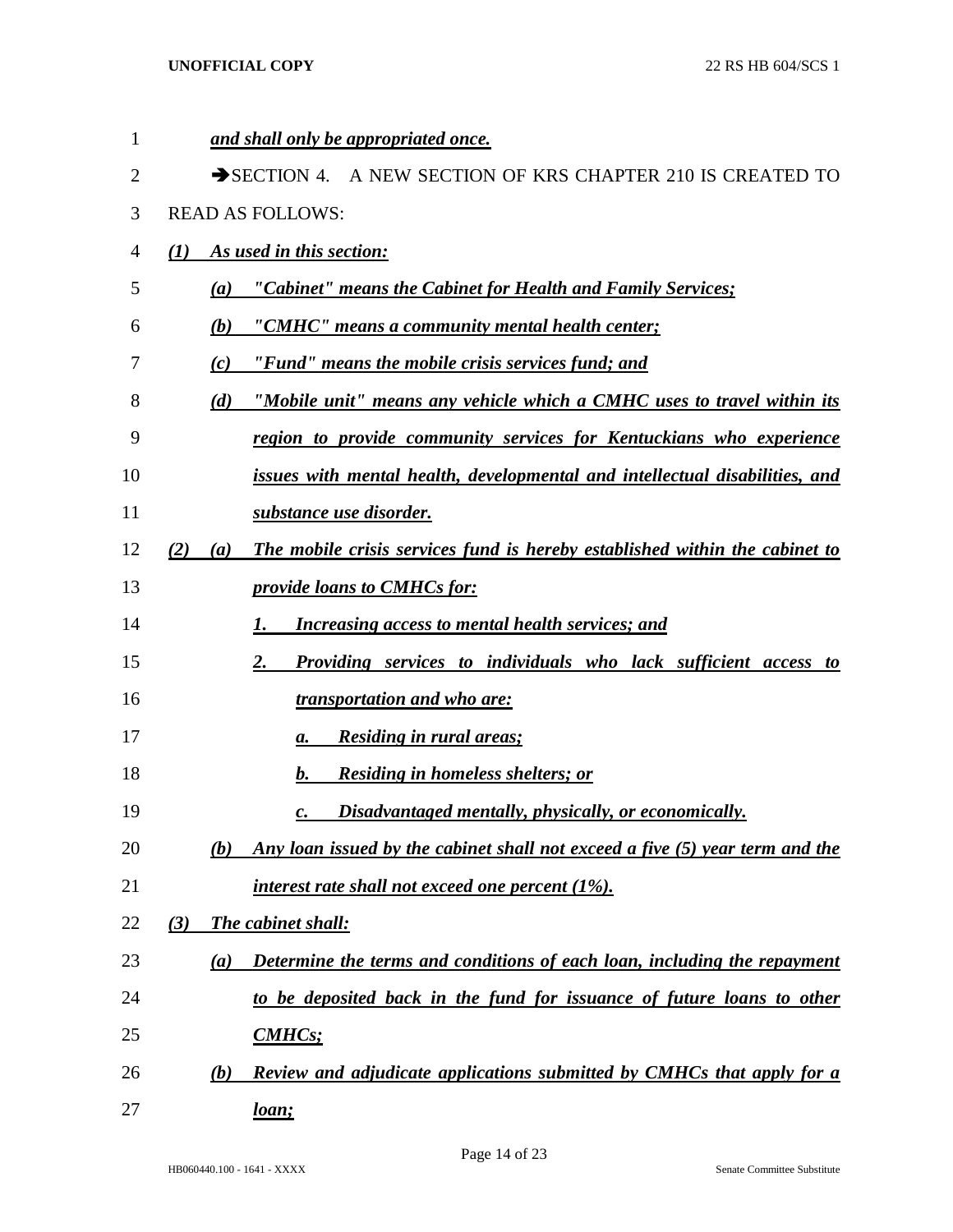| $\mathbf{1}$ | and shall only be appropriated once.                                                         |
|--------------|----------------------------------------------------------------------------------------------|
| 2            | SECTION 4. A NEW SECTION OF KRS CHAPTER 210 IS CREATED TO                                    |
| 3            | <b>READ AS FOLLOWS:</b>                                                                      |
| 4            | (1)<br>As used in this section:                                                              |
| 5            | "Cabinet" means the Cabinet for Health and Family Services;<br>(a)                           |
| 6            | "CMHC" means a community mental health center;<br>(b)                                        |
| 7            | "Fund" means the mobile crisis services fund; and<br>(c)                                     |
| 8            | "Mobile unit" means any vehicle which a CMHC uses to travel within its<br>(d)                |
| 9            | region to provide community services for Kentuckians who experience                          |
| 10           | issues with mental health, developmental and intellectual disabilities, and                  |
| 11           | substance use disorder.                                                                      |
| 12           | The mobile crisis services fund is hereby established within the cabinet to<br>(2)<br>(a)    |
| 13           | <i>provide loans to CMHCs for:</i>                                                           |
| 14           | <b>Increasing access to mental health services; and</b><br>1.                                |
| 15           | Providing services to individuals who lack sufficient access to<br>2.                        |
| 16           | <i>transportation and who are:</i>                                                           |
| 17           | <b>Residing in rural areas;</b><br>а.                                                        |
| 18           | <b>Residing in homeless shelters; or</b><br>b.                                               |
| 19           | Disadvantaged mentally, physically, or economically.<br>c.                                   |
| 20           | Any loan issued by the cabinet shall not exceed a five (5) year term and the<br>(b)          |
| 21           | interest rate shall not exceed one percent $(1\%)$ .                                         |
| 22           | <b>The cabinet shall:</b><br>(3)                                                             |
| 23           | Determine the terms and conditions of each loan, including the repayment<br>$\left(a\right)$ |
| 24           | to be deposited back in the fund for issuance of future loans to other                       |
| 25           | CMHCs                                                                                        |
| 26           | <b>Review and adjudicate applications submitted by CMHCs that apply for a</b><br>(b)         |
| 27           | <u>loan;</u>                                                                                 |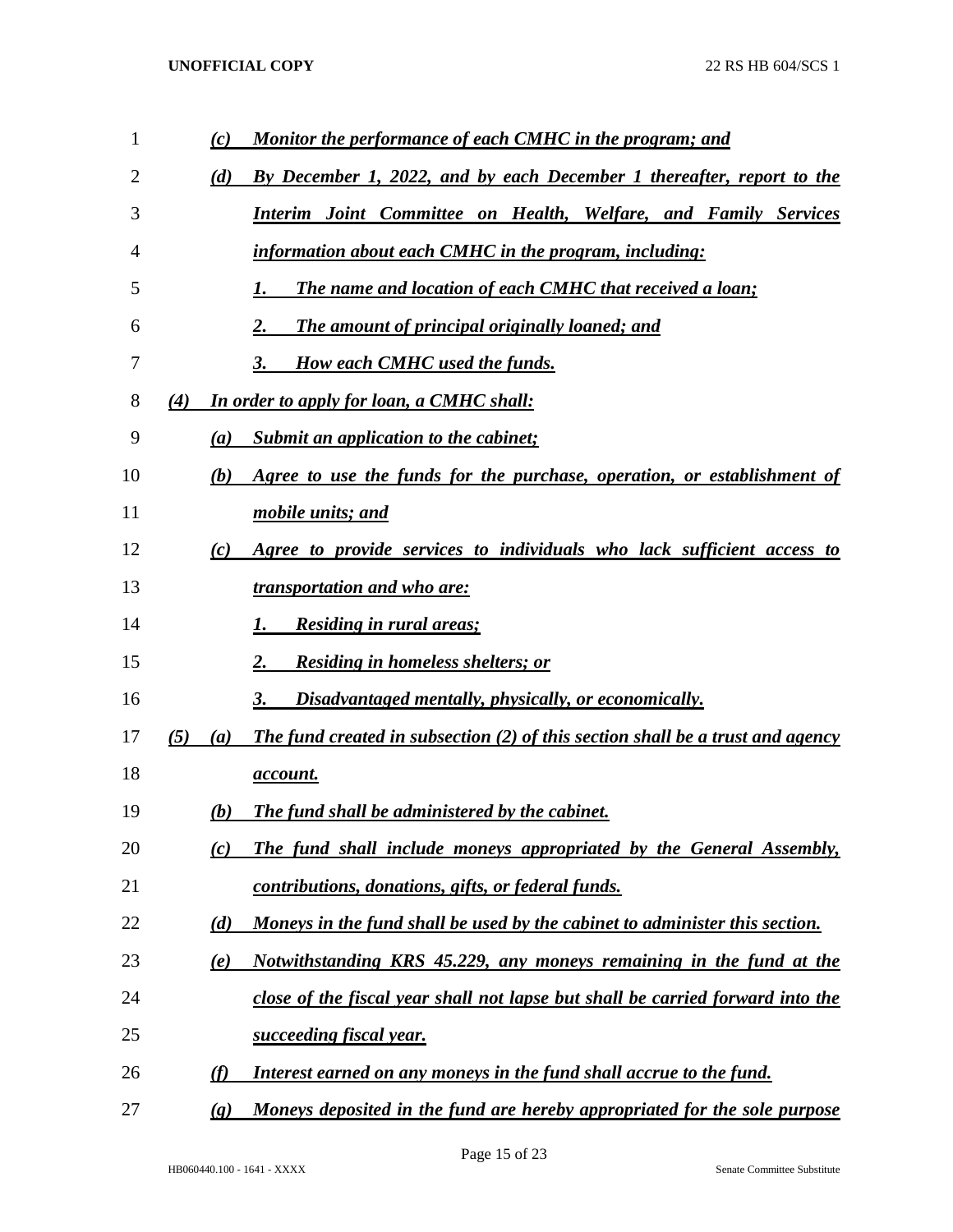| 1  |     | (c)                        | <u>Monitor the performance of each CMHC in the program; and</u>                |
|----|-----|----------------------------|--------------------------------------------------------------------------------|
| 2  |     | (d)                        | By December 1, 2022, and by each December 1 thereafter, report to the          |
| 3  |     |                            | <b>Interim Joint Committee on Health, Welfare, and Family Services</b>         |
| 4  |     |                            | information about each CMHC in the program, including:                         |
| 5  |     |                            | The name and location of each CMHC that received a loan;                       |
| 6  |     |                            | The amount of principal originally loaned; and<br>2.                           |
| 7  |     |                            | 3.<br><b>How each CMHC used the funds.</b>                                     |
| 8  | (4) |                            | <b>In order to apply for loan, a CMHC shall:</b>                               |
| 9  |     | $\left(a\right)$           | Submit an application to the cabinet;                                          |
| 10 |     | (b)                        | Agree to use the funds for the purchase, operation, or establishment of        |
| 11 |     |                            | mobile units; and                                                              |
| 12 |     | (c)                        | Agree to provide services to individuals who lack sufficient access to         |
| 13 |     |                            | <i>transportation and who are:</i>                                             |
| 14 |     |                            | <b>Residing in rural areas;</b><br>1.                                          |
| 15 |     |                            | <b>Residing in homeless shelters; or</b><br>2.                                 |
| 16 |     |                            | Disadvantaged mentally, physically, or economically.<br>3.                     |
| 17 | (5) | (a)                        | The fund created in subsection (2) of this section shall be a trust and agency |
| 18 |     |                            | <u>account.</u>                                                                |
| 19 |     | (b)                        | The fund shall be administered by the cabinet.                                 |
| 20 |     | (c)                        | The fund shall include moneys appropriated by the General Assembly,            |
| 21 |     |                            | contributions, donations, gifts, or federal funds.                             |
| 22 |     | (d)                        | Moneys in the fund shall be used by the cabinet to administer this section.    |
| 23 |     | (e)                        | Notwithstanding KRS 45.229, any moneys remaining in the fund at the            |
| 24 |     |                            | close of the fiscal year shall not lapse but shall be carried forward into the |
| 25 |     |                            | succeeding fiscal year.                                                        |
| 26 |     | (f)                        | Interest earned on any moneys in the fund shall accrue to the fund.            |
| 27 |     | $\left( \mathbf{g}\right)$ | Moneys deposited in the fund are hereby appropriated for the sole purpose      |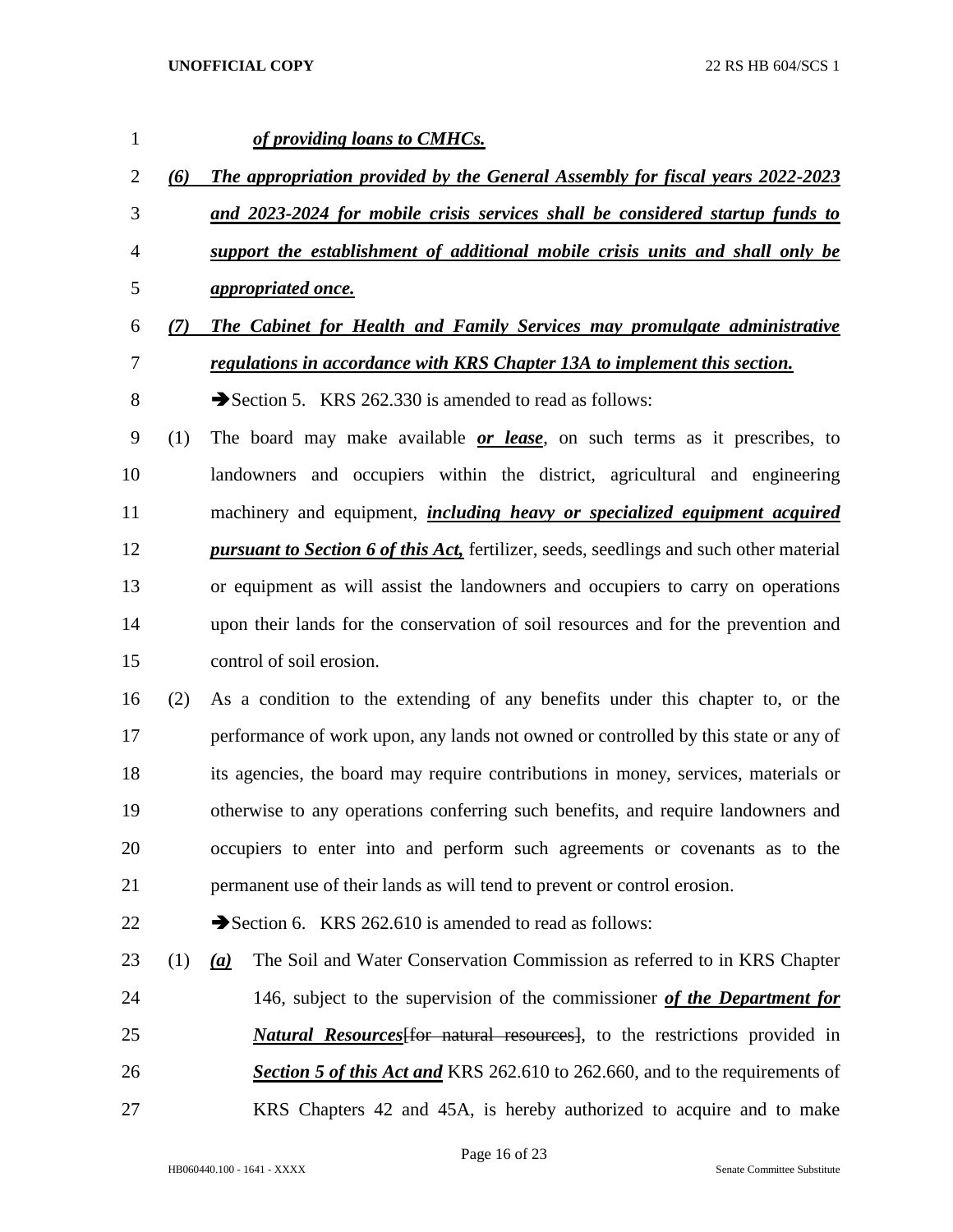*of providing loans to CMHCs. (6) The appropriation provided by the General Assembly for fiscal years 2022-2023 and 2023-2024 for mobile crisis services shall be considered startup funds to support the establishment of additional mobile crisis units and shall only be appropriated once. (7) The Cabinet for Health and Family Services may promulgate administrative regulations in accordance with KRS Chapter 13A to implement this section.* 8 Section 5. KRS 262.330 is amended to read as follows: (1) The board may make available *or lease*, on such terms as it prescribes, to landowners and occupiers within the district, agricultural and engineering machinery and equipment, *including heavy or specialized equipment acquired pursuant to Section 6 of this Act,* fertilizer, seeds, seedlings and such other material or equipment as will assist the landowners and occupiers to carry on operations upon their lands for the conservation of soil resources and for the prevention and control of soil erosion. (2) As a condition to the extending of any benefits under this chapter to, or the performance of work upon, any lands not owned or controlled by this state or any of its agencies, the board may require contributions in money, services, materials or otherwise to any operations conferring such benefits, and require landowners and occupiers to enter into and perform such agreements or covenants as to the permanent use of their lands as will tend to prevent or control erosion.  $\rightarrow$  Section 6. KRS 262.610 is amended to read as follows: (1) *(a)* The Soil and Water Conservation Commission as referred to in KRS Chapter 146, subject to the supervision of the commissioner *of the Department for Natural Resources*[for natural resources], to the restrictions provided in *Section 5 of this Act and* KRS 262.610 to 262.660, and to the requirements of KRS Chapters 42 and 45A, is hereby authorized to acquire and to make

Page 16 of 23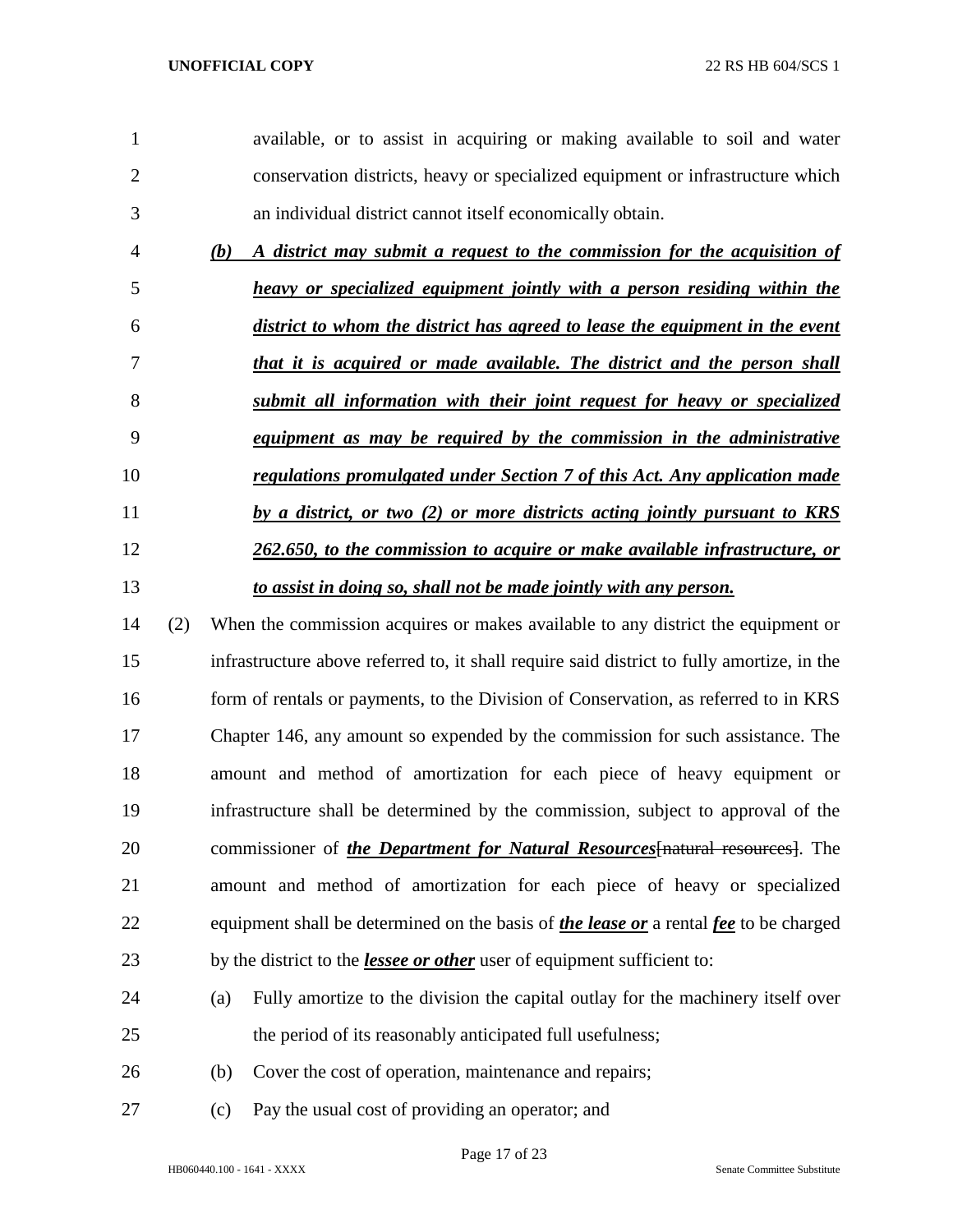| 1              |     | available, or to assist in acquiring or making available to soil and water                          |
|----------------|-----|-----------------------------------------------------------------------------------------------------|
| $\overline{2}$ |     | conservation districts, heavy or specialized equipment or infrastructure which                      |
| 3              |     | an individual district cannot itself economically obtain.                                           |
| $\overline{4}$ |     | A district may submit a request to the commission for the acquisition of<br>(b)                     |
| 5              |     | heavy or specialized equipment jointly with a person residing within the                            |
| 6              |     | district to whom the district has agreed to lease the equipment in the event                        |
| 7              |     | that it is acquired or made available. The district and the person shall                            |
| 8              |     | submit all information with their joint request for heavy or specialized                            |
| 9              |     | equipment as may be required by the commission in the administrative                                |
| 10             |     | regulations promulgated under Section 7 of this Act. Any application made                           |
| 11             |     | by a district, or two (2) or more districts acting jointly pursuant to KRS                          |
| 12             |     | 262.650, to the commission to acquire or make available infrastructure, or                          |
| 13             |     | to assist in doing so, shall not be made jointly with any person.                                   |
| 14             | (2) | When the commission acquires or makes available to any district the equipment or                    |
| 15             |     | infrastructure above referred to, it shall require said district to fully amortize, in the          |
| 16             |     | form of rentals or payments, to the Division of Conservation, as referred to in KRS                 |
| 17             |     | Chapter 146, any amount so expended by the commission for such assistance. The                      |
| 18             |     | amount and method of amortization for each piece of heavy equipment or                              |
| 19             |     | infrastructure shall be determined by the commission, subject to approval of the                    |
| 20             |     | commissioner of <i>the Department for Natural Resources</i> [natural resources]. The                |
| 21             |     | amount and method of amortization for each piece of heavy or specialized                            |
| 22             |     | equipment shall be determined on the basis of <i>the lease or</i> a rental <i>fee</i> to be charged |
| 23             |     | by the district to the <i>lessee or other</i> user of equipment sufficient to:                      |
| 24             |     | Fully amortize to the division the capital outlay for the machinery itself over<br>(a)              |
| 25             |     | the period of its reasonably anticipated full usefulness;                                           |
| 26             |     | Cover the cost of operation, maintenance and repairs;<br>(b)                                        |
| 27             |     | Pay the usual cost of providing an operator; and<br>(c)                                             |

Page 17 of 23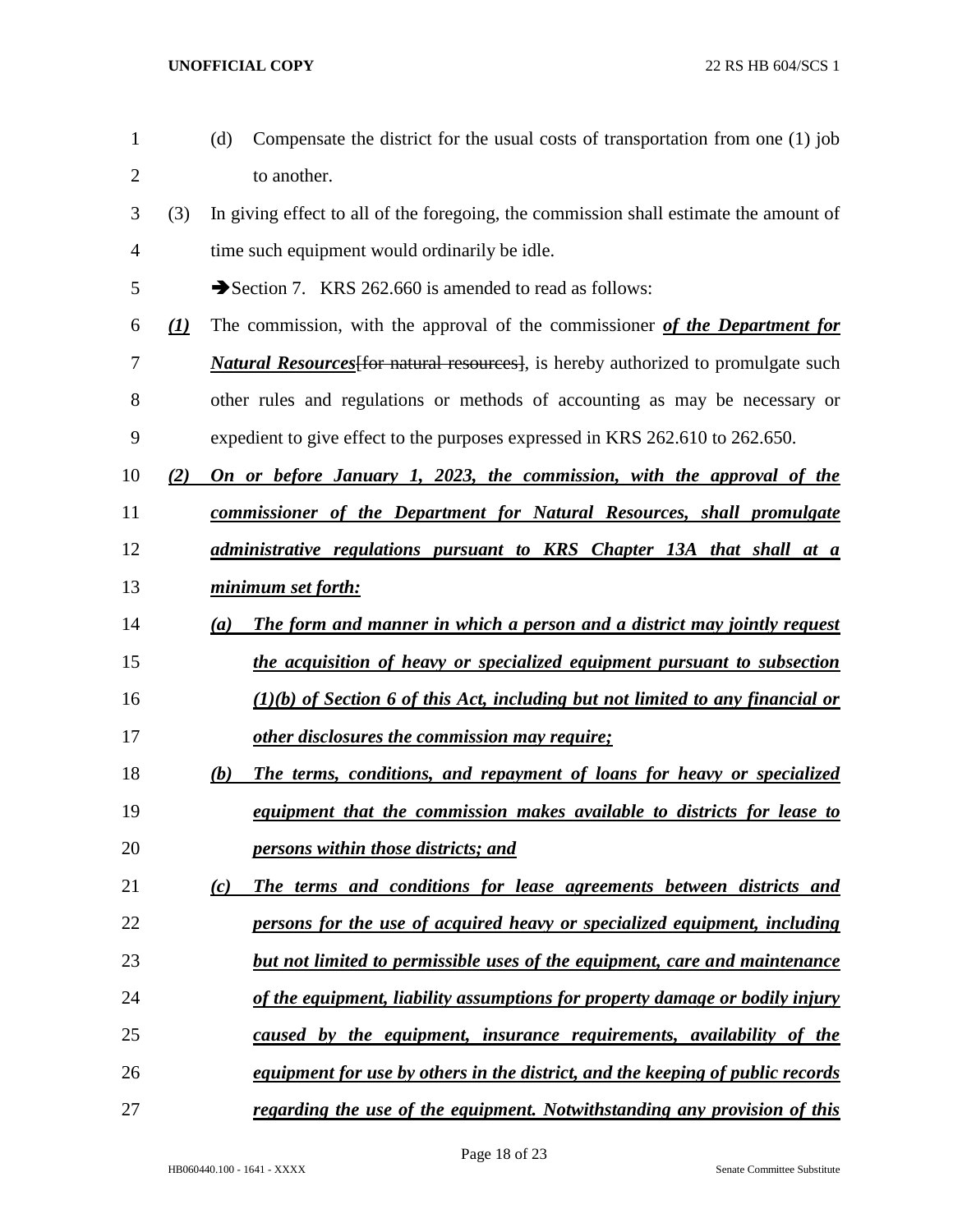| $\mathbf{1}$   |              | Compensate the district for the usual costs of transportation from one (1) job<br>(d)    |
|----------------|--------------|------------------------------------------------------------------------------------------|
| $\overline{2}$ |              | to another.                                                                              |
| 3              | (3)          | In giving effect to all of the foregoing, the commission shall estimate the amount of    |
| 4              |              | time such equipment would ordinarily be idle.                                            |
| 5              |              | Section 7. KRS 262.660 is amended to read as follows:                                    |
| 6              | $\mathbf{L}$ | The commission, with the approval of the commissioner of the Department for              |
| 7              |              | <b>Natural Resources</b> for natural resources], is hereby authorized to promulgate such |
| 8              |              | other rules and regulations or methods of accounting as may be necessary or              |
| 9              |              | expedient to give effect to the purposes expressed in KRS 262.610 to 262.650.            |
| 10             | (2)          | On or before January 1, 2023, the commission, with the approval of the                   |
| 11             |              | commissioner of the Department for Natural Resources, shall promulgate                   |
| 12             |              | administrative regulations pursuant to KRS Chapter 13A that shall at a                   |
| 13             |              | minimum set forth:                                                                       |
| 14             |              | The form and manner in which a person and a district may jointly request<br>(a)          |
| 15             |              | the acquisition of heavy or specialized equipment pursuant to subsection                 |
| 16             |              | $(1)(b)$ of Section 6 of this Act, including but not limited to any financial or         |
| 17             |              | other disclosures the commission may require;                                            |
| 18             |              | The terms, conditions, and repayment of loans for heavy or specialized<br>(b)            |
| 19             |              | equipment that the commission makes available to districts for lease to                  |
| 20             |              | persons within those districts; and                                                      |
| 21             |              | The terms and conditions for lease agreements between districts and<br>(c)               |
| 22             |              | persons for the use of acquired heavy or specialized equipment, including                |
| 23             |              | but not limited to permissible uses of the equipment, care and maintenance               |
| 24             |              | of the equipment, liability assumptions for property damage or bodily injury             |
| 25             |              | caused by the equipment, insurance requirements, availability of the                     |
| 26             |              | equipment for use by others in the district, and the keeping of public records           |
| 27             |              | regarding the use of the equipment. Notwithstanding any provision of this                |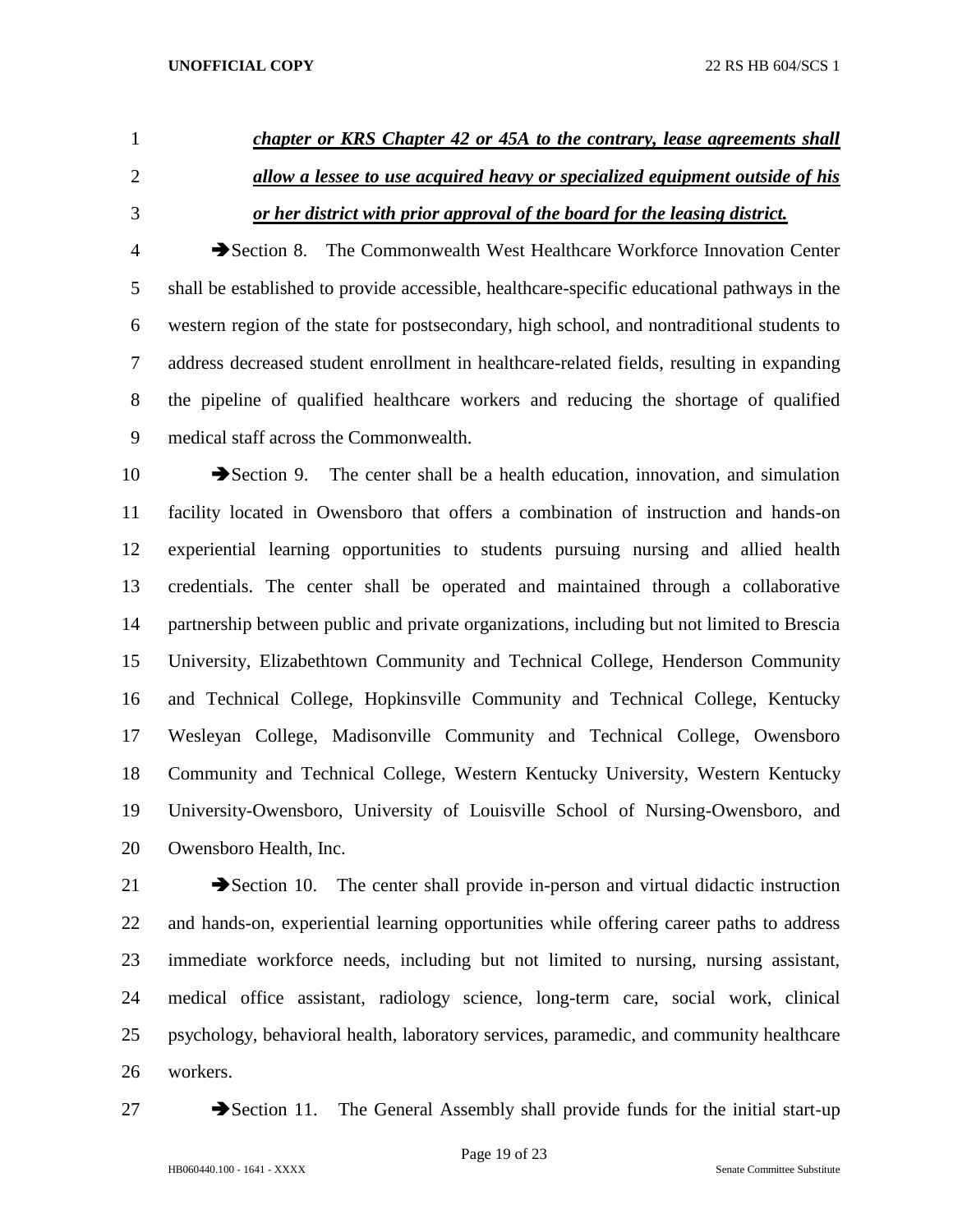# *chapter or KRS Chapter 42 or 45A to the contrary, lease agreements shall allow a lessee to use acquired heavy or specialized equipment outside of his or her district with prior approval of the board for the leasing district.*

 Section 8. The Commonwealth West Healthcare Workforce Innovation Center shall be established to provide accessible, healthcare-specific educational pathways in the western region of the state for postsecondary, high school, and nontraditional students to address decreased student enrollment in healthcare-related fields, resulting in expanding the pipeline of qualified healthcare workers and reducing the shortage of qualified medical staff across the Commonwealth.

 $\rightarrow$  Section 9. The center shall be a health education, innovation, and simulation facility located in Owensboro that offers a combination of instruction and hands-on experiential learning opportunities to students pursuing nursing and allied health credentials. The center shall be operated and maintained through a collaborative partnership between public and private organizations, including but not limited to Brescia University, Elizabethtown Community and Technical College, Henderson Community and Technical College, Hopkinsville Community and Technical College, Kentucky Wesleyan College, Madisonville Community and Technical College, Owensboro Community and Technical College, Western Kentucky University, Western Kentucky University-Owensboro, University of Louisville School of Nursing-Owensboro, and Owensboro Health, Inc.

 Section 10. The center shall provide in-person and virtual didactic instruction and hands-on, experiential learning opportunities while offering career paths to address immediate workforce needs, including but not limited to nursing, nursing assistant, medical office assistant, radiology science, long-term care, social work, clinical psychology, behavioral health, laboratory services, paramedic, and community healthcare workers.

27 Section 11. The General Assembly shall provide funds for the initial start-up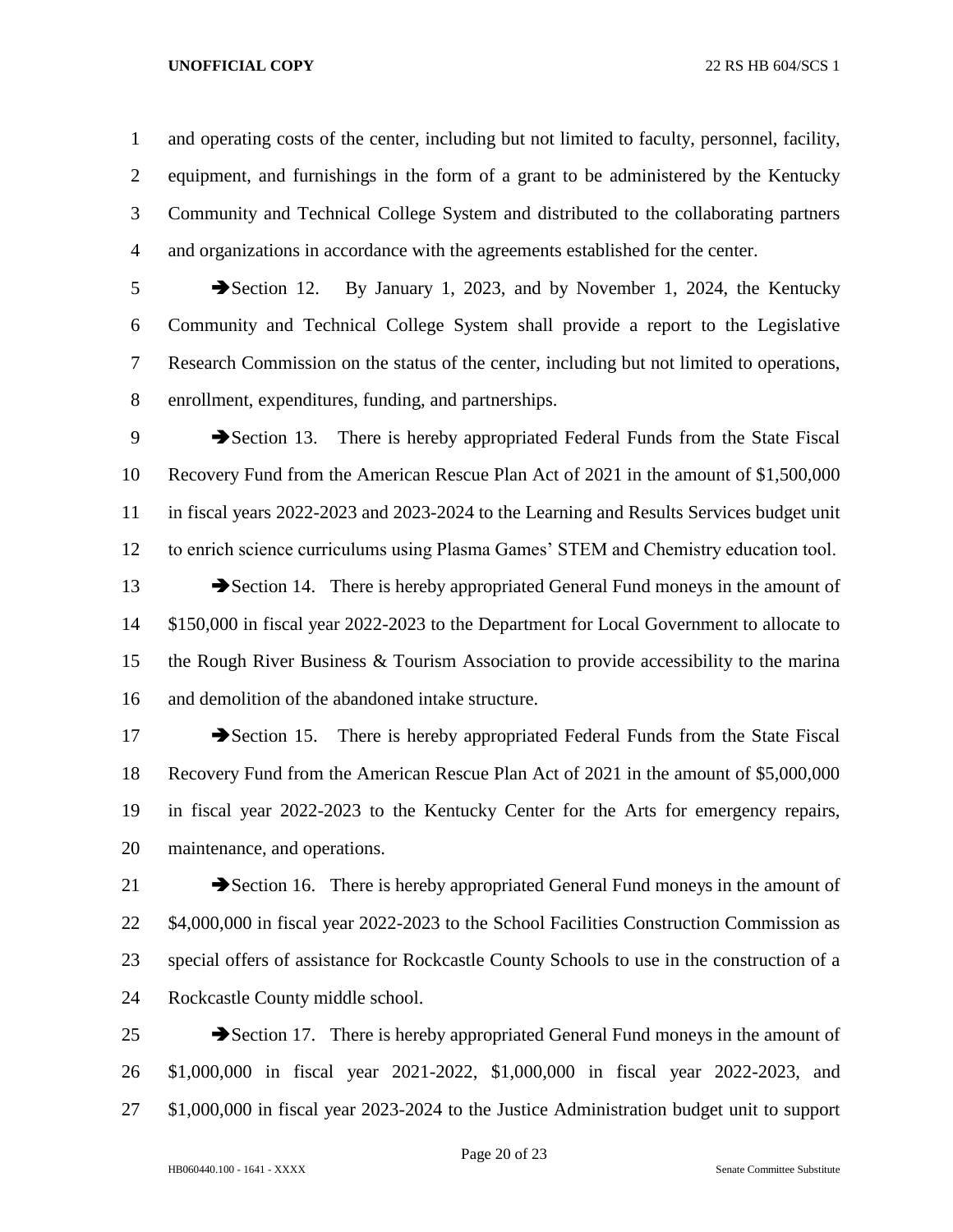and operating costs of the center, including but not limited to faculty, personnel, facility, equipment, and furnishings in the form of a grant to be administered by the Kentucky Community and Technical College System and distributed to the collaborating partners and organizations in accordance with the agreements established for the center.

 Section 12. By January 1, 2023, and by November 1, 2024, the Kentucky Community and Technical College System shall provide a report to the Legislative Research Commission on the status of the center, including but not limited to operations, enrollment, expenditures, funding, and partnerships.

9 Section 13. There is hereby appropriated Federal Funds from the State Fiscal Recovery Fund from the American Rescue Plan Act of 2021 in the amount of \$1,500,000 in fiscal years 2022-2023 and 2023-2024 to the Learning and Results Services budget unit to enrich science curriculums using Plasma Games' STEM and Chemistry education tool.

13 Section 14. There is hereby appropriated General Fund moneys in the amount of \$150,000 in fiscal year 2022-2023 to the Department for Local Government to allocate to the Rough River Business & Tourism Association to provide accessibility to the marina and demolition of the abandoned intake structure.

17 Section 15. There is hereby appropriated Federal Funds from the State Fiscal Recovery Fund from the American Rescue Plan Act of 2021 in the amount of \$5,000,000 in fiscal year 2022-2023 to the Kentucky Center for the Arts for emergency repairs, maintenance, and operations.

 Section 16. There is hereby appropriated General Fund moneys in the amount of \$4,000,000 in fiscal year 2022-2023 to the School Facilities Construction Commission as special offers of assistance for Rockcastle County Schools to use in the construction of a Rockcastle County middle school.

  $\rightarrow$  Section 17. There is hereby appropriated General Fund moneys in the amount of \$1,000,000 in fiscal year 2021-2022, \$1,000,000 in fiscal year 2022-2023, and \$1,000,000 in fiscal year 2023-2024 to the Justice Administration budget unit to support

Page 20 of 23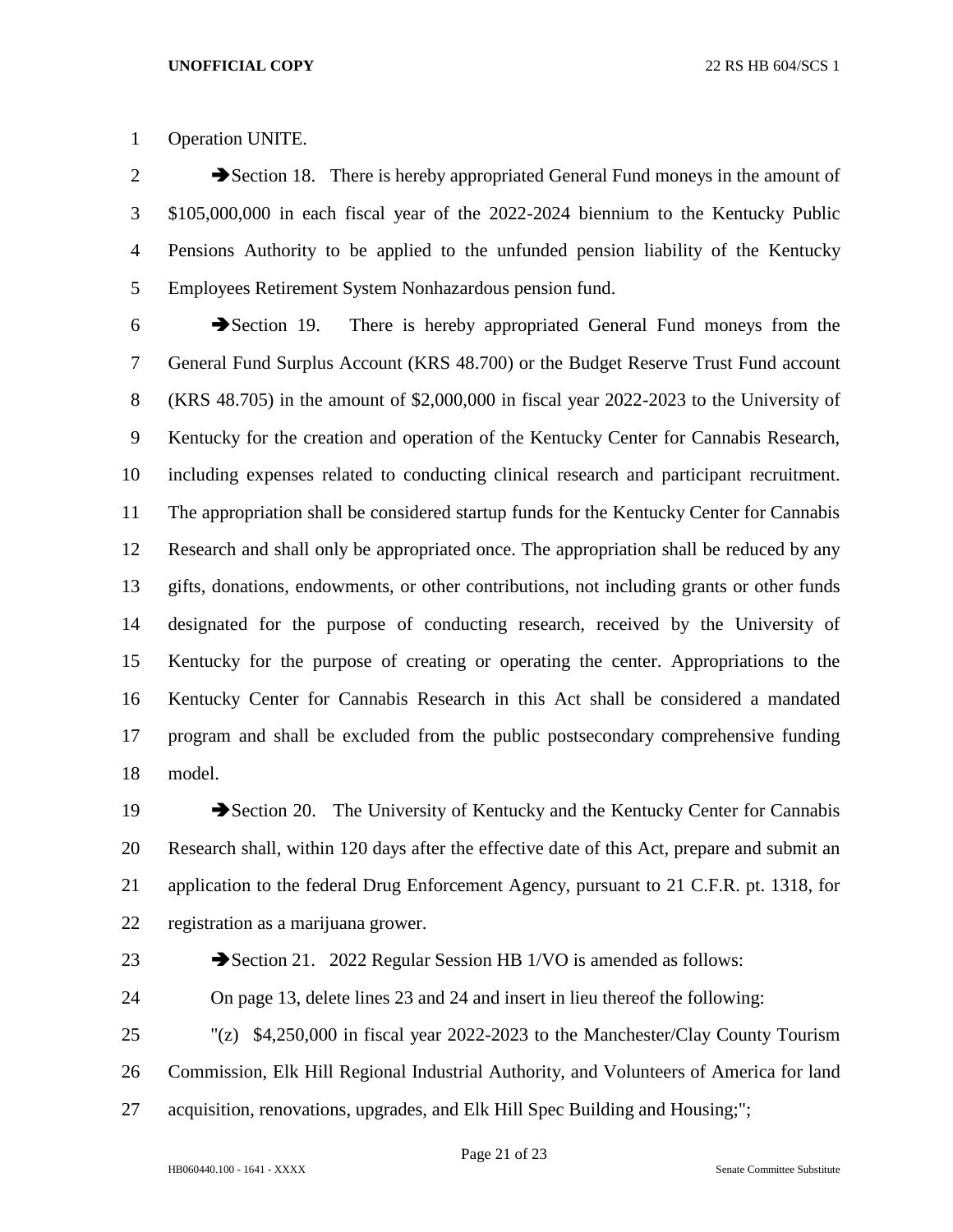Operation UNITE.

 $2 \rightarrow$  Section 18. There is hereby appropriated General Fund moneys in the amount of \$105,000,000 in each fiscal year of the 2022-2024 biennium to the Kentucky Public Pensions Authority to be applied to the unfunded pension liability of the Kentucky Employees Retirement System Nonhazardous pension fund.

 Section 19. There is hereby appropriated General Fund moneys from the General Fund Surplus Account (KRS 48.700) or the Budget Reserve Trust Fund account (KRS 48.705) in the amount of \$2,000,000 in fiscal year 2022-2023 to the University of Kentucky for the creation and operation of the Kentucky Center for Cannabis Research, including expenses related to conducting clinical research and participant recruitment. The appropriation shall be considered startup funds for the Kentucky Center for Cannabis Research and shall only be appropriated once. The appropriation shall be reduced by any gifts, donations, endowments, or other contributions, not including grants or other funds designated for the purpose of conducting research, received by the University of Kentucky for the purpose of creating or operating the center. Appropriations to the Kentucky Center for Cannabis Research in this Act shall be considered a mandated program and shall be excluded from the public postsecondary comprehensive funding model.

19 Section 20. The University of Kentucky and the Kentucky Center for Cannabis Research shall, within 120 days after the effective date of this Act, prepare and submit an application to the federal Drug Enforcement Agency, pursuant to 21 C.F.R. pt. 1318, for registration as a marijuana grower.

23 Section 21. 2022 Regular Session HB 1/VO is amended as follows:

On page 13, delete lines 23 and 24 and insert in lieu thereof the following:

 "(z) \$4,250,000 in fiscal year 2022-2023 to the Manchester/Clay County Tourism Commission, Elk Hill Regional Industrial Authority, and Volunteers of America for land acquisition, renovations, upgrades, and Elk Hill Spec Building and Housing;";

Page 21 of 23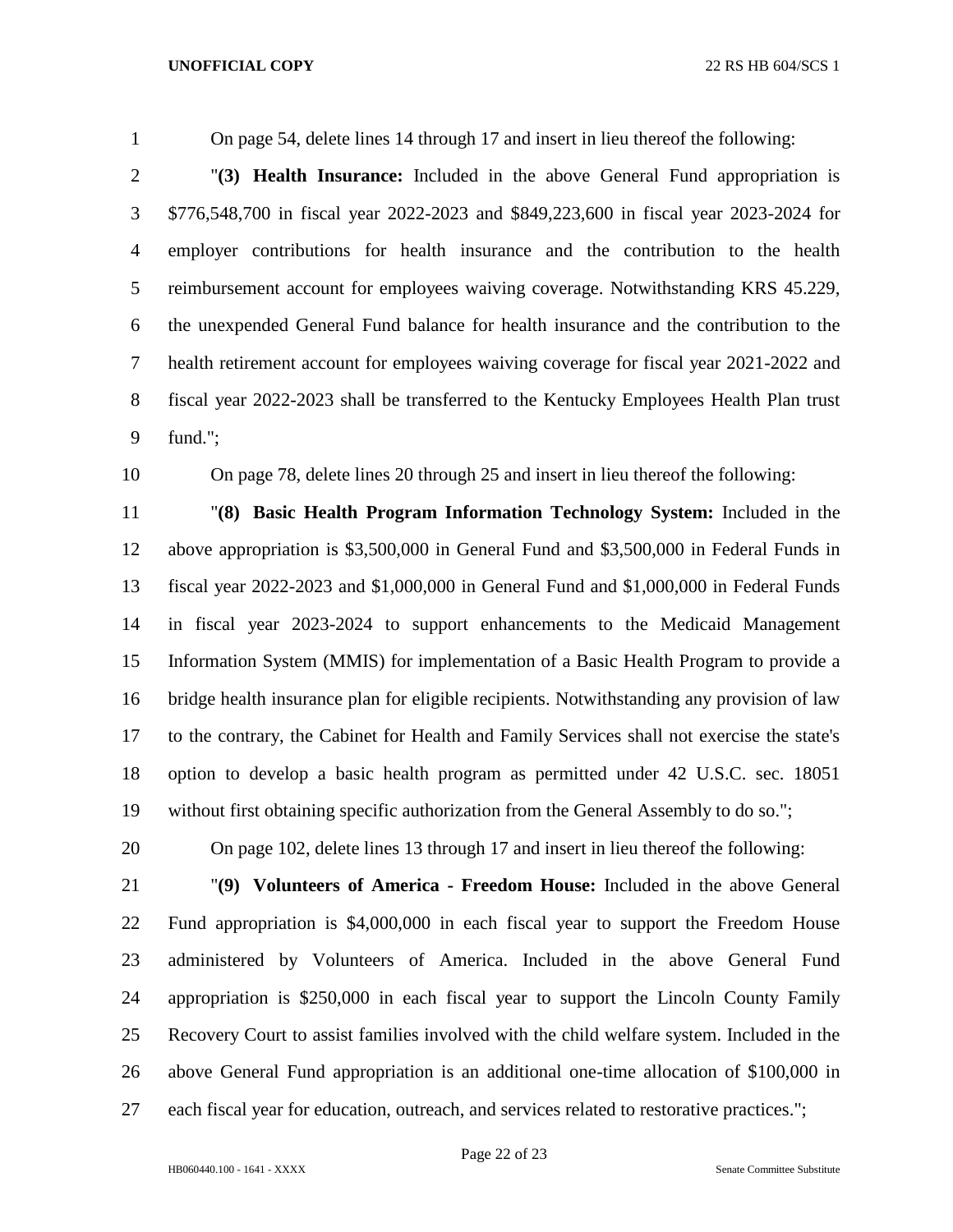On page 54, delete lines 14 through 17 and insert in lieu thereof the following:

 "**(3) Health Insurance:** Included in the above General Fund appropriation is \$776,548,700 in fiscal year 2022-2023 and \$849,223,600 in fiscal year 2023-2024 for employer contributions for health insurance and the contribution to the health reimbursement account for employees waiving coverage. Notwithstanding KRS 45.229, the unexpended General Fund balance for health insurance and the contribution to the health retirement account for employees waiving coverage for fiscal year 2021-2022 and fiscal year 2022-2023 shall be transferred to the Kentucky Employees Health Plan trust fund.";

On page 78, delete lines 20 through 25 and insert in lieu thereof the following:

 "**(8) Basic Health Program Information Technology System:** Included in the above appropriation is \$3,500,000 in General Fund and \$3,500,000 in Federal Funds in fiscal year 2022-2023 and \$1,000,000 in General Fund and \$1,000,000 in Federal Funds in fiscal year 2023-2024 to support enhancements to the Medicaid Management Information System (MMIS) for implementation of a Basic Health Program to provide a bridge health insurance plan for eligible recipients. Notwithstanding any provision of law to the contrary, the Cabinet for Health and Family Services shall not exercise the state's option to develop a basic health program as permitted under 42 U.S.C. sec. 18051 without first obtaining specific authorization from the General Assembly to do so.";

On page 102, delete lines 13 through 17 and insert in lieu thereof the following:

 "**(9) Volunteers of America - Freedom House:** Included in the above General Fund appropriation is \$4,000,000 in each fiscal year to support the Freedom House administered by Volunteers of America. Included in the above General Fund appropriation is \$250,000 in each fiscal year to support the Lincoln County Family Recovery Court to assist families involved with the child welfare system. Included in the above General Fund appropriation is an additional one-time allocation of \$100,000 in each fiscal year for education, outreach, and services related to restorative practices.";